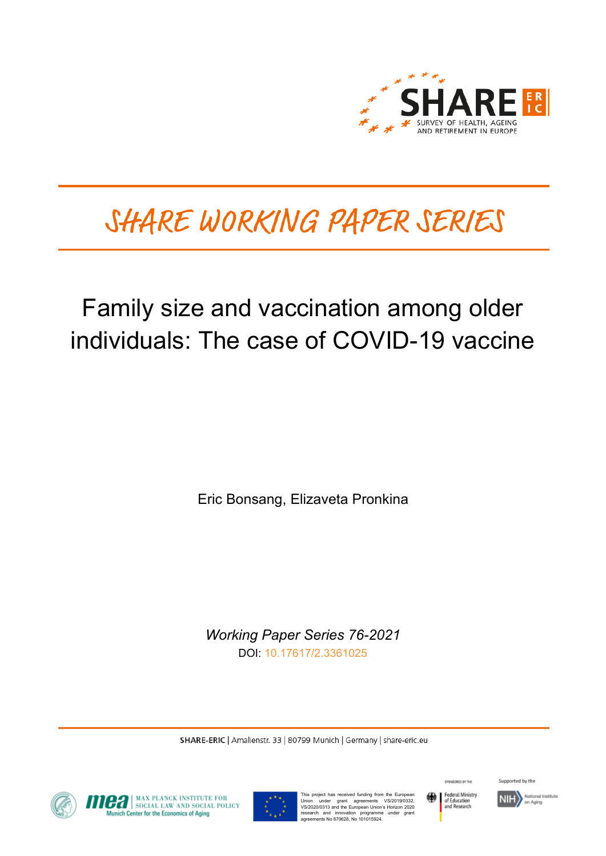

# SHARE WORKING PAPER SERIES

# Family size and vaccination among older individuals: The case of COVID-19 vaccine

Eric Bonsang, Elizaveta Pronkina

*Working Paper Series 76-2021* DOI: [10.17617/2.3361025](https://doi.org/10.17617/2.3361025)

SHARE-ERIC | Amalienstr. 33 | 80799 Munich | Germany | share-eric.eu



**OFFICIAL MAX PLANCK INSTITUTE FOR SOCIAL POLICY**<br>Munich Center for the Economics of Aging



This project has received funding from the European<br>Union under grant agreements VS/2019/0332,<br>VS/2020/0313 and the European Union's Horizon 2020<br>research and innovation programme under grant<br>agreements No 870628, No 10101



SPONSORED BY THE

Supported by the

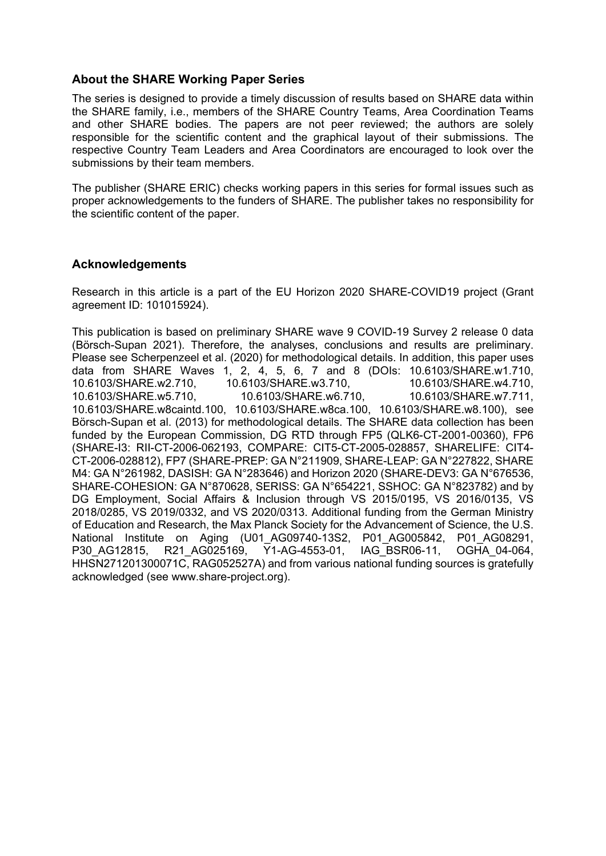## **About the SHARE Working Paper Series**

The series is designed to provide a timely discussion of results based on SHARE data within the SHARE family, i.e., members of the SHARE Country Teams, Area Coordination Teams and other SHARE bodies. The papers are not peer reviewed; the authors are solely responsible for the scientific content and the graphical layout of their submissions. The respective Country Team Leaders and Area Coordinators are encouraged to look over the submissions by their team members.

The publisher (SHARE ERIC) checks working papers in this series for formal issues such as proper acknowledgements to the funders of SHARE. The publisher takes no responsibility for the scientific content of the paper.

## **Acknowledgements**

Research in this article is a part of the EU Horizon 2020 SHARE-COVID19 project (Grant agreement ID: 101015924).

This publication is based on preliminary SHARE wave 9 COVID-19 Survey 2 release 0 data (Börsch-Supan 2021). Therefore, the analyses, conclusions and results are preliminary. Please see Scherpenzeel et al. (2020) for methodological details. In addition, this paper uses data from SHARE Waves 1, 2, 4, 5, 6, 7 and 8 (DOIs: 10.6103/SHARE.w1.710, 10.6103/SHARE.w2.710, 10.6103/SHARE.w3.710, 10.6103/SHARE.w4.710, 10.6103/SHARE.w5.710, 10.6103/SHARE.w6.710, 10.6103/SHARE.w7.711, 10.6103/SHARE.w8caintd.100, 10.6103/SHARE.w8ca.100, 10.6103/SHARE.w8.100), see Börsch-Supan et al. (2013) for methodological details. The SHARE data collection has been funded by the European Commission, DG RTD through FP5 (QLK6-CT-2001-00360), FP6 (SHARE-I3: RII-CT-2006-062193, COMPARE: CIT5-CT-2005-028857, SHARELIFE: CIT4- CT-2006-028812), FP7 (SHARE-PREP: GA N°211909, SHARE-LEAP: GA N°227822, SHARE M4: GA N°261982, DASISH: GA N°283646) and Horizon 2020 (SHARE-DEV3: GA N°676536, SHARE-COHESION: GA N°870628, SERISS: GA N°654221, SSHOC: GA N°823782) and by DG Employment, Social Affairs & Inclusion through VS 2015/0195, VS 2016/0135. VS 2018/0285, VS 2019/0332, and VS 2020/0313. Additional funding from the German Ministry of Education and Research, the Max Planck Society for the Advancement of Science, the U.S. National Institute on Aging (U01\_AG09740-13S2, P01\_AG005842, P01\_AG08291, P30\_AG12815, R21\_AG025169, Y1-AG-4553-01, IAG\_BSR06-11, OGHA\_04-064, HHSN271201300071C, RAG052527A) and from various national funding sources is gratefully acknowledged (see www.share-project.org).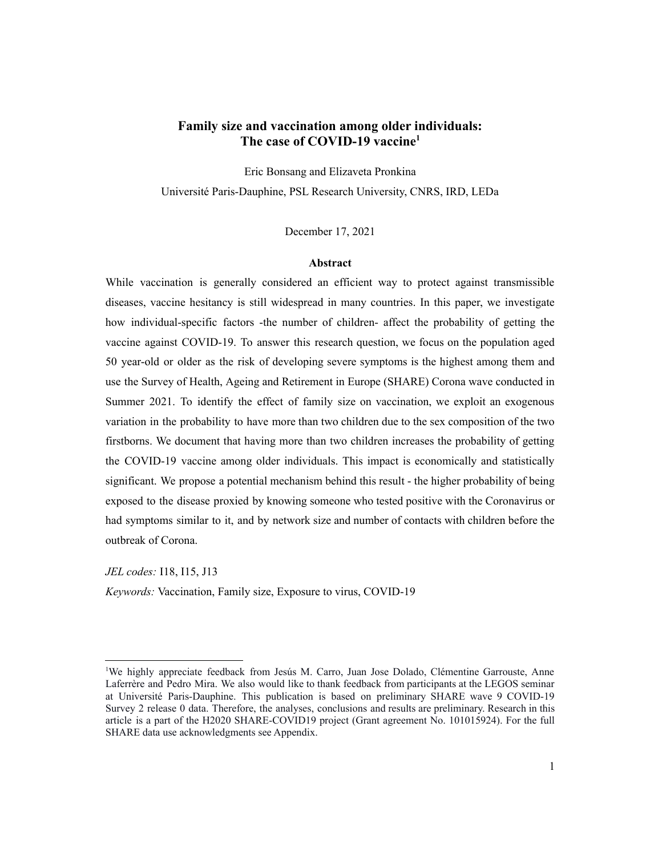### **Family size and vaccination among older individuals: The case of COVID-19 vaccine1**

Eric Bonsang and Elizaveta Pronkina Université Paris-Dauphine, PSL Research University, CNRS, IRD, LEDa

December 17, 2021

#### **Abstract**

While vaccination is generally considered an efficient way to protect against transmissible diseases, vaccine hesitancy is still widespread in many countries. In this paper, we investigate how individual-specific factors -the number of children- affect the probability of getting the vaccine against COVID-19. To answer this research question, we focus on the population aged 50 year-old or older as the risk of developing severe symptoms is the highest among them and use the Survey of Health, Ageing and Retirement in Europe (SHARE) Corona wave conducted in Summer 2021. To identify the effect of family size on vaccination, we exploit an exogenous variation in the probability to have more than two children due to the sex composition of the two firstborns. We document that having more than two children increases the probability of getting the COVID-19 vaccine among older individuals. This impact is economically and statistically significant. We propose a potential mechanism behind this result - the higher probability of being exposed to the disease proxied by knowing someone who tested positive with the Coronavirus or had symptoms similar to it, and by network size and number of contacts with children before the outbreak of Corona.

*JEL codes:* I18, I15, J13 *Keywords:* Vaccination, Family size, Exposure to virus, COVID-19

<sup>&</sup>lt;sup>1</sup>We highly appreciate feedback from Jesús M. Carro, Juan Jose Dolado, Clémentine Garrouste, Anne Laferrère and Pedro Mira. We also would like to thank feedback from participants at the LEGOS seminar at Université Paris-Dauphine. This publication is based on preliminary SHARE wave 9 COVID-19 Survey 2 release 0 data. Therefore, the analyses, conclusions and results are preliminary. Research in this article is a part of the H2020 SHARE-COVID19 project (Grant agreement No. 101015924). For the full SHARE data use acknowledgments see Appendix.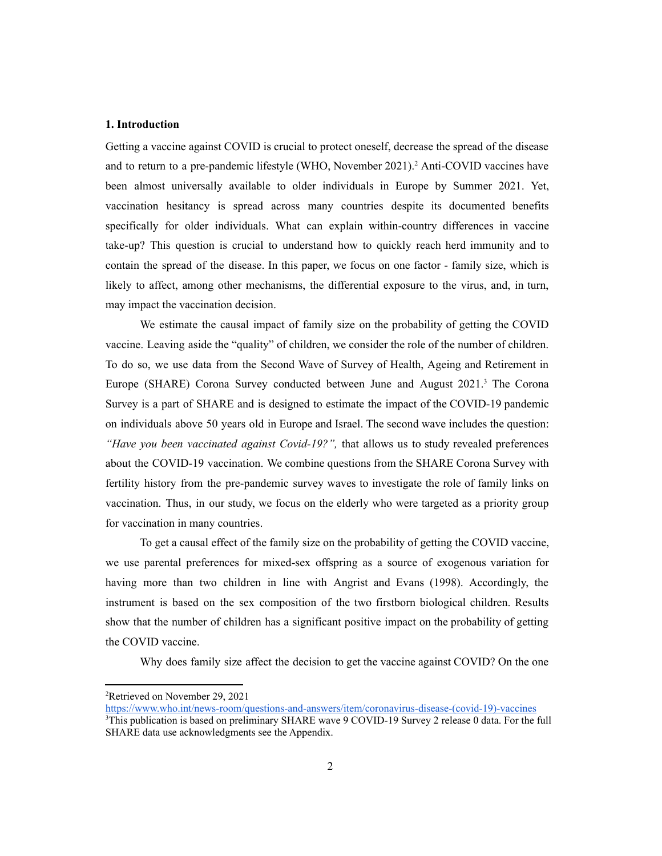#### **1. Introduction**

Getting a vaccine against COVID is crucial to protect oneself, decrease the spread of the disease and to return to a pre-pandemic lifestyle (WHO, November 2021).2 Anti-COVID vaccines have been almost universally available to older individuals in Europe by Summer 2021. Yet, vaccination hesitancy is spread across many countries despite its documented benefits specifically for older individuals. What can explain within-country differences in vaccine take-up? This question is crucial to understand how to quickly reach herd immunity and to contain the spread of the disease. In this paper, we focus on one factor - family size, which is likely to affect, among other mechanisms, the differential exposure to the virus, and, in turn, may impact the vaccination decision.

We estimate the causal impact of family size on the probability of getting the COVID vaccine. Leaving aside the "quality" of children, we consider the role of the number of children. To do so, we use data from the Second Wave of Survey of Health, Ageing and Retirement in Europe (SHARE) Corona Survey conducted between June and August  $2021$ .<sup>3</sup> The Corona Survey is a part of SHARE and is designed to estimate the impact of the COVID-19 pandemic on individuals above 50 years old in Europe and Israel. The second wave includes the question: *"Have you been vaccinated against Covid-19?",* that allows us to study revealed preferences about the COVID-19 vaccination. We combine questions from the SHARE Corona Survey with fertility history from the pre-pandemic survey waves to investigate the role of family links on vaccination. Thus, in our study, we focus on the elderly who were targeted as a priority group for vaccination in many countries.

To get a causal effect of the family size on the probability of getting the COVID vaccine, we use parental preferences for mixed-sex offspring as a source of exogenous variation for having more than two children in line with Angrist and Evans (1998). Accordingly, the instrument is based on the sex composition of the two firstborn biological children. Results show that the number of children has a significant positive impact on the probability of getting the COVID vaccine.

Why does family size affect the decision to get the vaccine against COVID? On the one

<sup>2</sup> Retrieved on November 29, 2021

https://www.who.int/news-room/questions-and-answers/item/coronavirus-disease-(covid-19)-vaccines

<sup>3</sup> This publication is based on preliminary SHARE wave 9 COVID-19 Survey 2 release 0 data. For the full SHARE data use acknowledgments see the Appendix.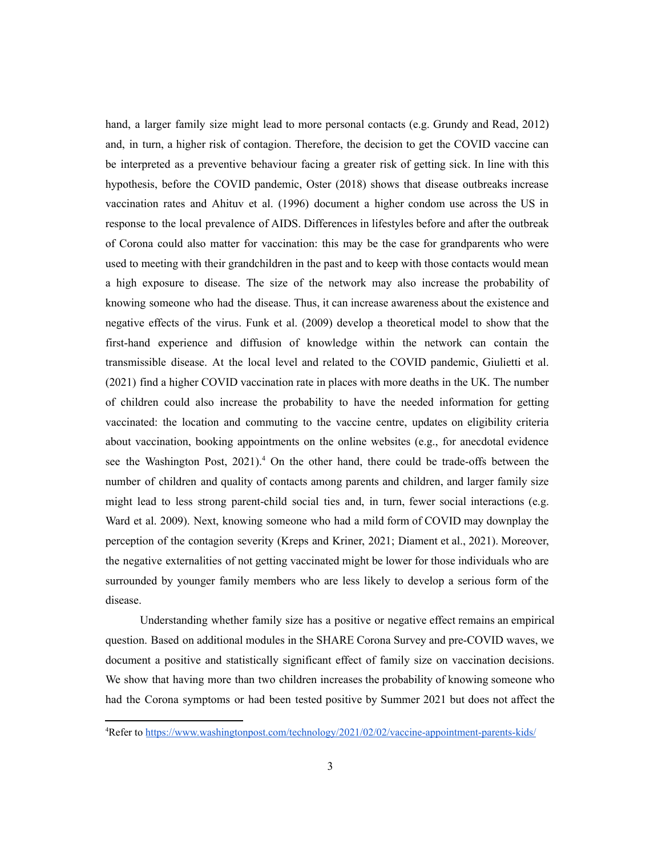hand, a larger family size might lead to more personal contacts (e.g. Grundy and Read, 2012) and, in turn, a higher risk of contagion. Therefore, the decision to get the COVID vaccine can be interpreted as a preventive behaviour facing a greater risk of getting sick. In line with this hypothesis, before the COVID pandemic, Oster (2018) shows that disease outbreaks increase vaccination rates and Ahituv et al. (1996) document a higher condom use across the US in response to the local prevalence of AIDS. Differences in lifestyles before and after the outbreak of Corona could also matter for vaccination: this may be the case for grandparents who were used to meeting with their grandchildren in the past and to keep with those contacts would mean a high exposure to disease. The size of the network may also increase the probability of knowing someone who had the disease. Thus, it can increase awareness about the existence and negative effects of the virus. Funk et al. (2009) develop a theoretical model to show that the first-hand experience and diffusion of knowledge within the network can contain the transmissible disease. At the local level and related to the COVID pandemic, Giulietti et al. (2021) find a higher COVID vaccination rate in places with more deaths in the UK. The number of children could also increase the probability to have the needed information for getting vaccinated: the location and commuting to the vaccine centre, updates on eligibility criteria about vaccination, booking appointments on the online websites (e.g., for anecdotal evidence see the Washington Post,  $2021$ .<sup>4</sup> On the other hand, there could be trade-offs between the number of children and quality of contacts among parents and children, and larger family size might lead to less strong parent-child social ties and, in turn, fewer social interactions (e.g. Ward et al. 2009). Next, knowing someone who had a mild form of COVID may downplay the perception of the contagion severity (Kreps and Kriner, 2021; Diament et al., 2021). Moreover, the negative externalities of not getting vaccinated might be lower for those individuals who are surrounded by younger family members who are less likely to develop a serious form of the disease.

Understanding whether family size has a positive or negative effect remains an empirical question. Based on additional modules in the SHARE Corona Survey and pre-COVID waves, we document a positive and statistically significant effect of family size on vaccination decisions. We show that having more than two children increases the probability of knowing someone who had the Corona symptoms or had been tested positive by Summer 2021 but does not affect the

<sup>&</sup>lt;sup>4</sup>Refer to https://www.washingtonpost.com/technology/2021/02/02/vaccine-appointment-parents-kids/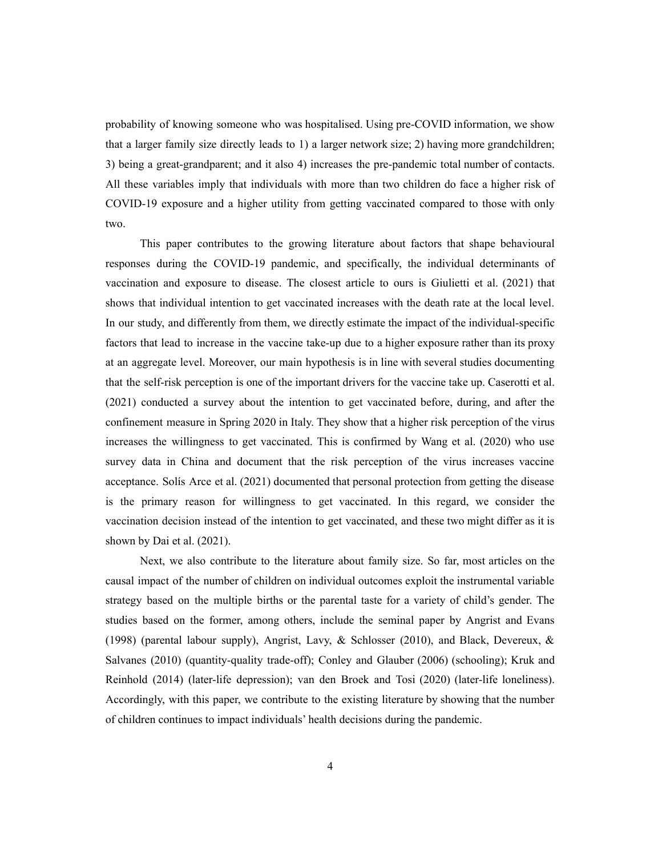probability of knowing someone who was hospitalised. Using pre-COVID information, we show that a larger family size directly leads to 1) a larger network size; 2) having more grandchildren; 3) being a great-grandparent; and it also 4) increases the pre-pandemic total number of contacts. All these variables imply that individuals with more than two children do face a higher risk of COVID-19 exposure and a higher utility from getting vaccinated compared to those with only two.

This paper contributes to the growing literature about factors that shape behavioural responses during the COVID-19 pandemic, and specifically, the individual determinants of vaccination and exposure to disease. The closest article to ours is Giulietti et al. (2021) that shows that individual intention to get vaccinated increases with the death rate at the local level. In our study, and differently from them, we directly estimate the impact of the individual-specific factors that lead to increase in the vaccine take-up due to a higher exposure rather than its proxy at an aggregate level. Moreover, our main hypothesis is in line with several studies documenting that the self-risk perception is one of the important drivers for the vaccine take up. Caserotti et al. (2021) conducted a survey about the intention to get vaccinated before, during, and after the confinement measure in Spring 2020 in Italy. They show that a higher risk perception of the virus increases the willingness to get vaccinated. This is confirmed by Wang et al. (2020) who use survey data in China and document that the risk perception of the virus increases vaccine acceptance. Solís Arce et al. (2021) documented that personal protection from getting the disease is the primary reason for willingness to get vaccinated. In this regard, we consider the vaccination decision instead of the intention to get vaccinated, and these two might differ as it is shown by Dai et al. (2021).

Next, we also contribute to the literature about family size. So far, most articles on the causal impact of the number of children on individual outcomes exploit the instrumental variable strategy based on the multiple births or the parental taste for a variety of child's gender. The studies based on the former, among others, include the seminal paper by Angrist and Evans (1998) (parental labour supply), Angrist, Lavy,  $\&$  Schlosser (2010), and Black, Devereux,  $\&$ Salvanes (2010) (quantity-quality trade-off); Conley and Glauber (2006) (schooling); Kruk and Reinhold (2014) (later-life depression); van den Broek and Tosi (2020) (later-life loneliness). Accordingly, with this paper, we contribute to the existing literature by showing that the number of children continues to impact individuals' health decisions during the pandemic.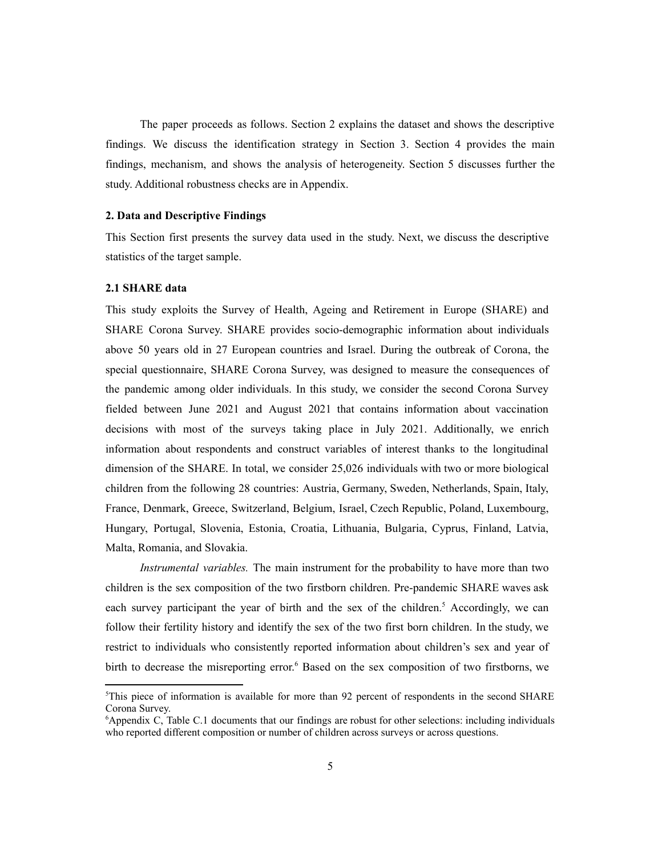The paper proceeds as follows. Section 2 explains the dataset and shows the descriptive findings. We discuss the identification strategy in Section 3. Section 4 provides the main findings, mechanism, and shows the analysis of heterogeneity. Section 5 discusses further the study. Additional robustness checks are in Appendix.

#### **2. Data and Descriptive Findings**

This Section first presents the survey data used in the study. Next, we discuss the descriptive statistics of the target sample.

#### **2.1 SHARE data**

This study exploits the Survey of Health, Ageing and Retirement in Europe (SHARE) and SHARE Corona Survey. SHARE provides socio-demographic information about individuals above 50 years old in 27 European countries and Israel. During the outbreak of Corona, the special questionnaire, SHARE Corona Survey, was designed to measure the consequences of the pandemic among older individuals. In this study, we consider the second Corona Survey fielded between June 2021 and August 2021 that contains information about vaccination decisions with most of the surveys taking place in July 2021. Additionally, we enrich information about respondents and construct variables of interest thanks to the longitudinal dimension of the SHARE. In total, we consider 25,026 individuals with two or more biological children from the following 28 countries: Austria, Germany, Sweden, Netherlands, Spain, Italy, France, Denmark, Greece, Switzerland, Belgium, Israel, Czech Republic, Poland, Luxembourg, Hungary, Portugal, Slovenia, Estonia, Croatia, Lithuania, Bulgaria, Cyprus, Finland, Latvia, Malta, Romania, and Slovakia.

*Instrumental variables.* The main instrument for the probability to have more than two children is the sex composition of the two firstborn children. Pre-pandemic SHARE waves ask each survey participant the year of birth and the sex of the children.<sup>5</sup> Accordingly, we can follow their fertility history and identify the sex of the two first born children. In the study, we restrict to individuals who consistently reported information about children's sex and year of birth to decrease the misreporting error. <sup>6</sup> Based on the sex composition of two firstborns, we

<sup>5</sup> This piece of information is available for more than 92 percent of respondents in the second SHARE Corona Survey.

<sup>6</sup> Appendix C, Table C.1 documents that our findings are robust for other selections: including individuals who reported different composition or number of children across surveys or across questions.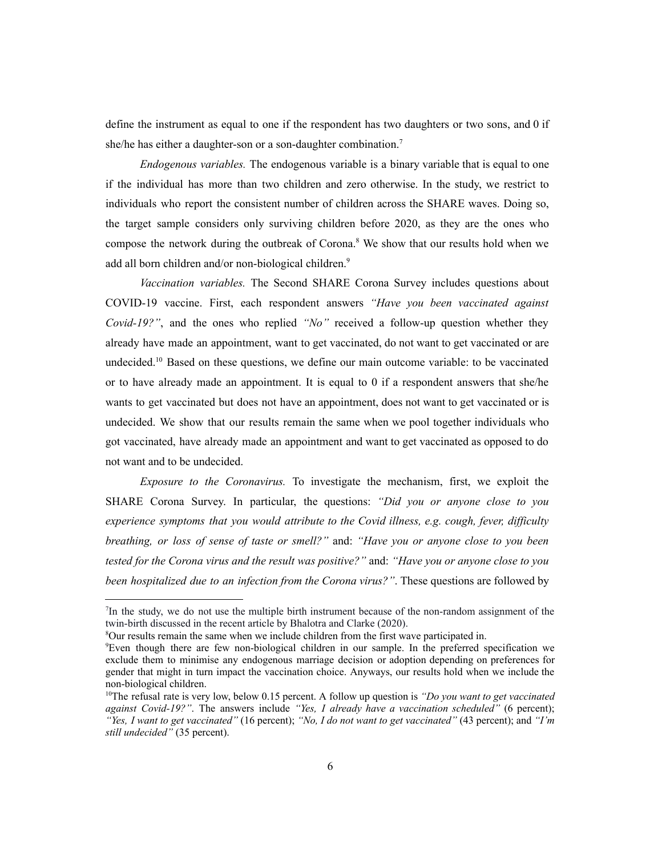define the instrument as equal to one if the respondent has two daughters or two sons, and 0 if she/he has either a daughter-son or a son-daughter combination.<sup>7</sup>

*Endogenous variables.* The endogenous variable is a binary variable that is equal to one if the individual has more than two children and zero otherwise. In the study, we restrict to individuals who report the consistent number of children across the SHARE waves. Doing so, the target sample considers only surviving children before 2020, as they are the ones who compose the network during the outbreak of Corona.<sup>8</sup> We show that our results hold when we add all born children and/or non-biological children.<sup>9</sup>

*Vaccination variables.* The Second SHARE Corona Survey includes questions about COVID-19 vaccine. First, each respondent answers *"Have you been vaccinated against Covid-19?"*, and the ones who replied *"No"* received a follow-up question whether they already have made an appointment, want to get vaccinated, do not want to get vaccinated or are undecided.<sup>10</sup> Based on these questions, we define our main outcome variable: to be vaccinated or to have already made an appointment. It is equal to  $0$  if a respondent answers that she/he wants to get vaccinated but does not have an appointment, does not want to get vaccinated or is undecided. We show that our results remain the same when we pool together individuals who got vaccinated, have already made an appointment and want to get vaccinated as opposed to do not want and to be undecided.

*Exposure to the Coronavirus.* To investigate the mechanism, first, we exploit the SHARE Corona Survey. In particular, the questions: *"Did you or anyone close to you experience symptoms that you would attribute to the Covid illness, e.g. cough, fever, difficulty breathing, or loss of sense of taste or smell?"* and: *"Have you or anyone close to you been tested for the Corona virus and the result was positive?"* and: *"Have you or anyone close to you been hospitalized due to an infection from the Corona virus?"*. These questions are followed by

<sup>7</sup> In the study, we do not use the multiple birth instrument because of the non-random assignment of the twin-birth discussed in the recent article by Bhalotra and Clarke (2020).

<sup>8</sup> Our results remain the same when we include children from the first wave participated in.

<sup>9</sup> Even though there are few non-biological children in our sample. In the preferred specification we exclude them to minimise any endogenous marriage decision or adoption depending on preferences for gender that might in turn impact the vaccination choice. Anyways, our results hold when we include the non-biological children.

<sup>10</sup> The refusal rate is very low, below 0.15 percent. A follow up question is *"Do you want to get vaccinated against Covid-19?"*. The answers include *"Yes, I already have a vaccination scheduled"* (6 percent); *"Yes, I want to get vaccinated"* (16 percent); *"No, I do not want to get vaccinated"* (43 percent); and *"I'm still undecided"* (35 percent).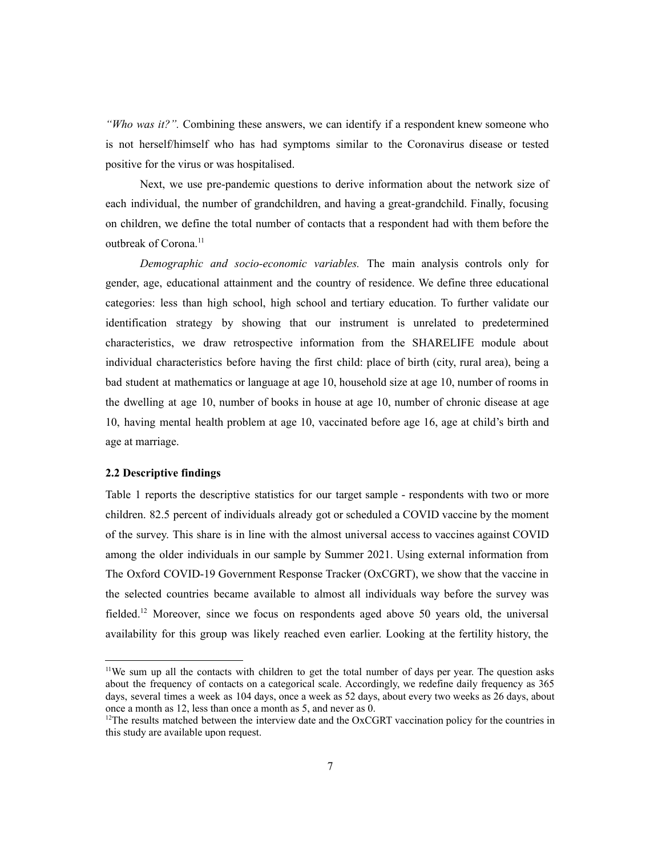*"Who was it?".* Combining these answers, we can identify if a respondent knew someone who is not herself/himself who has had symptoms similar to the Coronavirus disease or tested positive for the virus or was hospitalised.

Next, we use pre-pandemic questions to derive information about the network size of each individual, the number of grandchildren, and having a great-grandchild. Finally, focusing on children, we define the total number of contacts that a respondent had with them before the outbreak of Corona.<sup>11</sup>

*Demographic and socio-economic variables.* The main analysis controls only for gender, age, educational attainment and the country of residence. We define three educational categories: less than high school, high school and tertiary education. To further validate our identification strategy by showing that our instrument is unrelated to predetermined characteristics, we draw retrospective information from the SHARELIFE module about individual characteristics before having the first child: place of birth (city, rural area), being a bad student at mathematics or language at age 10, household size at age 10, number of rooms in the dwelling at age 10, number of books in house at age 10, number of chronic disease at age 10, having mental health problem at age 10, vaccinated before age 16, age at child's birth and age at marriage.

#### **2.2 Descriptive findings**

Table 1 reports the descriptive statistics for our target sample - respondents with two or more children. 82.5 percent of individuals already got or scheduled a COVID vaccine by the moment of the survey. This share is in line with the almost universal access to vaccines against COVID among the older individuals in our sample by Summer 2021. Using external information from The Oxford COVID-19 Government Response Tracker (OxCGRT), we show that the vaccine in the selected countries became available to almost all individuals way before the survey was fielded.<sup>12</sup> Moreover, since we focus on respondents aged above 50 years old, the universal availability for this group was likely reached even earlier. Looking at the fertility history, the

<sup>&</sup>lt;sup>11</sup>We sum up all the contacts with children to get the total number of days per year. The question asks about the frequency of contacts on a categorical scale. Accordingly, we redefine daily frequency as 365 days, several times a week as 104 days, once a week as 52 days, about every two weeks as 26 days, about once a month as 12, less than once a month as 5, and never as 0.

 $12$ The results matched between the interview date and the OxCGRT vaccination policy for the countries in this study are available upon request.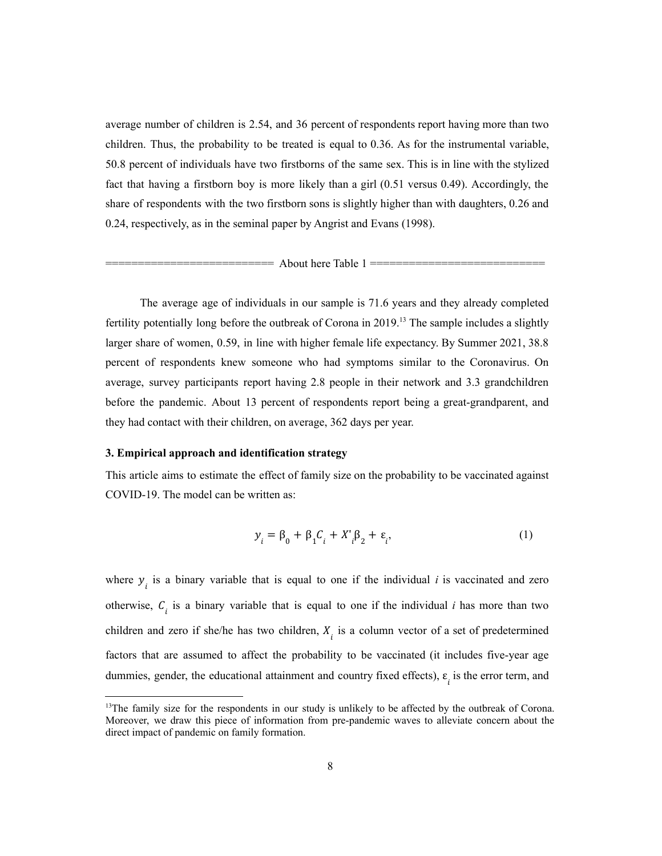average number of children is 2.54, and 36 percent of respondents report having more than two children. Thus, the probability to be treated is equal to 0.36. As for the instrumental variable, 50.8 percent of individuals have two firstborns of the same sex. This is in line with the stylized fact that having a firstborn boy is more likely than a girl (0.51 versus 0.49). Accordingly, the share of respondents with the two firstborn sons is slightly higher than with daughters, 0.26 and 0.24, respectively, as in the seminal paper by Angrist and Evans (1998).

 $=$  About here Table 1  $=$ 

The average age of individuals in our sample is 71.6 years and they already completed fertility potentially long before the outbreak of Corona in  $2019<sup>13</sup>$ . The sample includes a slightly larger share of women, 0.59, in line with higher female life expectancy. By Summer 2021, 38.8 percent of respondents knew someone who had symptoms similar to the Coronavirus. On average, survey participants report having 2.8 people in their network and 3.3 grandchildren before the pandemic. About 13 percent of respondents report being a great-grandparent, and they had contact with their children, on average, 362 days per year.

#### **3. Empirical approach and identification strategy**

This article aims to estimate the effect of family size on the probability to be vaccinated against COVID-19. The model can be written as:

$$
y_i = \beta_0 + \beta_1 C_i + X_i^{\prime} \beta_2 + \varepsilon_i, \tag{1}
$$

where  $y_i$  is a binary variable that is equal to one if the individual *i* is vaccinated and zero otherwise,  $C_i$  is a binary variable that is equal to one if the individual *i* has more than two children and zero if she/he has two children,  $X_i$  is a column vector of a set of predetermined factors that are assumed to affect the probability to be vaccinated (it includes five-year age dummies, gender, the educational attainment and country fixed effects),  $\varepsilon$ <sub>i</sub> is the error term, and

<sup>&</sup>lt;sup>13</sup>The family size for the respondents in our study is unlikely to be affected by the outbreak of Corona. Moreover, we draw this piece of information from pre-pandemic waves to alleviate concern about the direct impact of pandemic on family formation.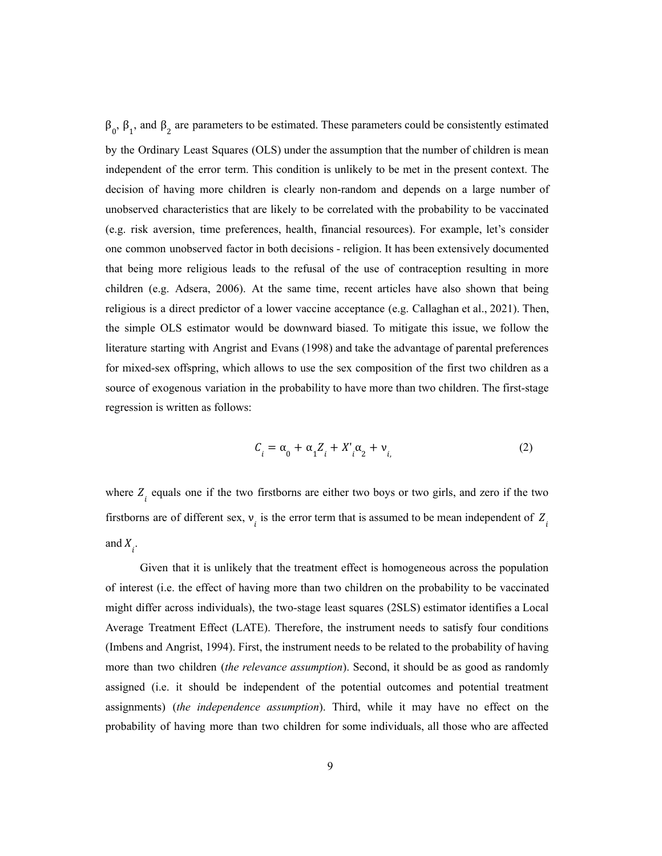$β<sub>0</sub>$ ,  $β<sub>1</sub>$ , and  $β<sub>2</sub>$  are parameters to be estimated. These parameters could be consistently estimated by the Ordinary Least Squares (OLS) under the assumption that the number of children is mean independent of the error term. This condition is unlikely to be met in the present context. The decision of having more children is clearly non-random and depends on a large number of unobserved characteristics that are likely to be correlated with the probability to be vaccinated (e.g. risk aversion, time preferences, health, financial resources). For example, let's consider one common unobserved factor in both decisions - religion. It has been extensively documented that being more religious leads to the refusal of the use of contraception resulting in more children (e.g. Adsera, 2006). At the same time, recent articles have also shown that being religious is a direct predictor of a lower vaccine acceptance (e.g. Callaghan et al., 2021). Then, the simple OLS estimator would be downward biased. To mitigate this issue, we follow the literature starting with Angrist and Evans (1998) and take the advantage of parental preferences for mixed-sex offspring, which allows to use the sex composition of the first two children as a source of exogenous variation in the probability to have more than two children. The first-stage regression is written as follows:

$$
C_i = \alpha_0 + \alpha_1 Z_i + X'_i \alpha_2 + \nu_i
$$
 (2)

where  $Z_i$  equals one if the two firstborns are either two boys or two girls, and zero if the two firstborns are of different sex,  $v_i$  is the error term that is assumed to be mean independent of  $Z_i$ and  $X_i$ .

Given that it is unlikely that the treatment effect is homogeneous across the population of interest (i.e. the effect of having more than two children on the probability to be vaccinated might differ across individuals), the two-stage least squares (2SLS) estimator identifies a Local Average Treatment Effect (LATE). Therefore, the instrument needs to satisfy four conditions (Imbens and Angrist, 1994). First, the instrument needs to be related to the probability of having more than two children (*the relevance assumption*). Second, it should be as good as randomly assigned (i.e. it should be independent of the potential outcomes and potential treatment assignments) (*the independence assumption*). Third, while it may have no effect on the probability of having more than two children for some individuals, all those who are affected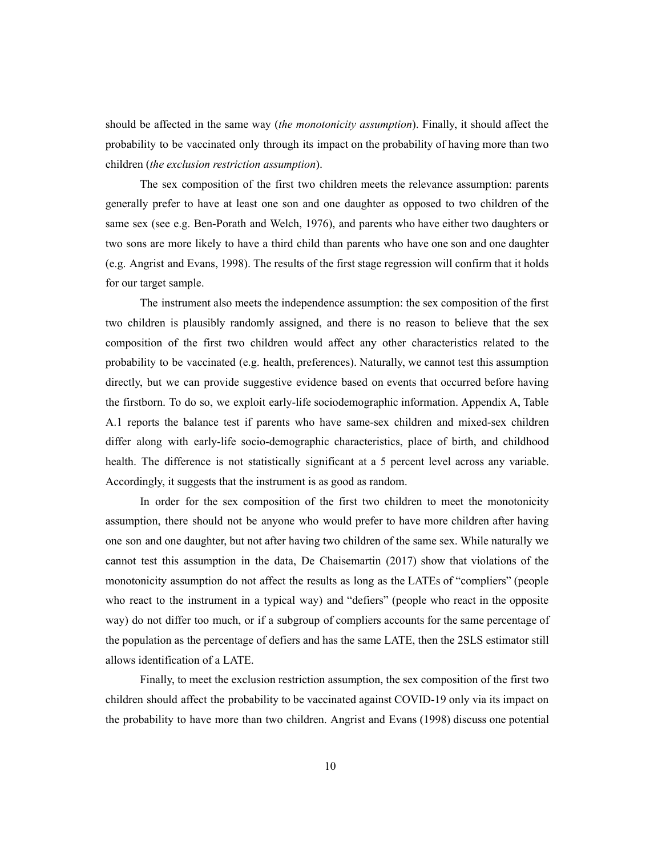should be affected in the same way (*the monotonicity assumption*). Finally, it should affect the probability to be vaccinated only through its impact on the probability of having more than two children (*the exclusion restriction assumption*).

The sex composition of the first two children meets the relevance assumption: parents generally prefer to have at least one son and one daughter as opposed to two children of the same sex (see e.g. Ben-Porath and Welch, 1976), and parents who have either two daughters or two sons are more likely to have a third child than parents who have one son and one daughter (e.g. Angrist and Evans, 1998). The results of the first stage regression will confirm that it holds for our target sample.

The instrument also meets the independence assumption: the sex composition of the first two children is plausibly randomly assigned, and there is no reason to believe that the sex composition of the first two children would affect any other characteristics related to the probability to be vaccinated (e.g. health, preferences). Naturally, we cannot test this assumption directly, but we can provide suggestive evidence based on events that occurred before having the firstborn. To do so, we exploit early-life sociodemographic information. Appendix A, Table A.1 reports the balance test if parents who have same-sex children and mixed-sex children differ along with early-life socio-demographic characteristics, place of birth, and childhood health. The difference is not statistically significant at a 5 percent level across any variable. Accordingly, it suggests that the instrument is as good as random.

In order for the sex composition of the first two children to meet the monotonicity assumption, there should not be anyone who would prefer to have more children after having one son and one daughter, but not after having two children of the same sex. While naturally we cannot test this assumption in the data, De Chaisemartin (2017) show that violations of the monotonicity assumption do not affect the results as long as the LATEs of "compliers" (people who react to the instrument in a typical way) and "defiers" (people who react in the opposite way) do not differ too much, or if a subgroup of compliers accounts for the same percentage of the population as the percentage of defiers and has the same LATE, then the 2SLS estimator still allows identification of a LATE.

Finally, to meet the exclusion restriction assumption, the sex composition of the first two children should affect the probability to be vaccinated against COVID-19 only via its impact on the probability to have more than two children. Angrist and Evans (1998) discuss one potential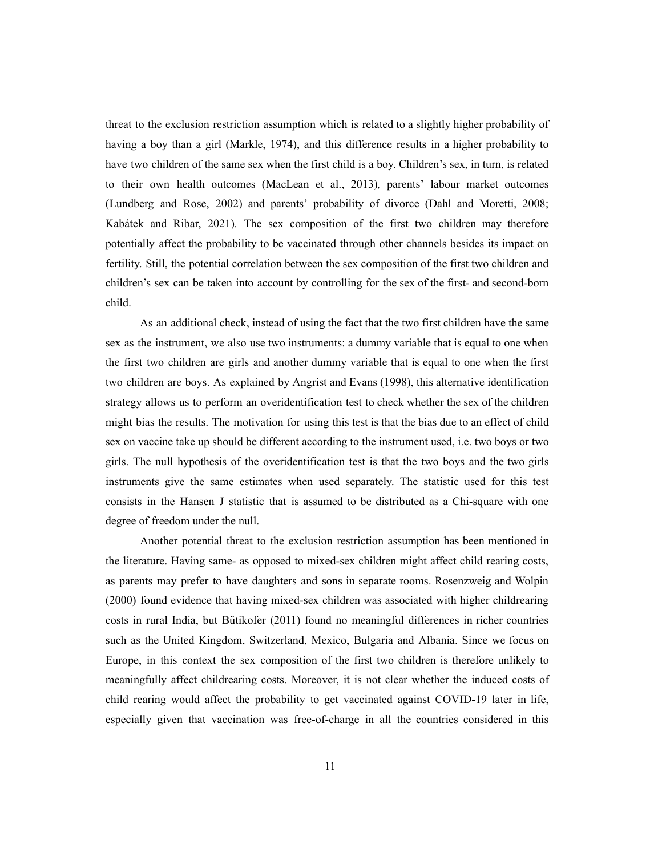threat to the exclusion restriction assumption which is related to a slightly higher probability of having a boy than a girl (Markle, 1974), and this difference results in a higher probability to have two children of the same sex when the first child is a boy. Children's sex, in turn, is related to their own health outcomes (MacLean et al., 2013)*,* parents' labour market outcomes (Lundberg and Rose, 2002) and parents' probability of divorce (Dahl and Moretti, 2008; Kabátek and Ribar, 2021)*.* The sex composition of the first two children may therefore potentially affect the probability to be vaccinated through other channels besides its impact on fertility. Still, the potential correlation between the sex composition of the first two children and children's sex can be taken into account by controlling for the sex of the first- and second-born child.

As an additional check, instead of using the fact that the two first children have the same sex as the instrument, we also use two instruments: a dummy variable that is equal to one when the first two children are girls and another dummy variable that is equal to one when the first two children are boys. As explained by Angrist and Evans (1998), this alternative identification strategy allows us to perform an overidentification test to check whether the sex of the children might bias the results. The motivation for using this test is that the bias due to an effect of child sex on vaccine take up should be different according to the instrument used, i.e. two boys or two girls. The null hypothesis of the overidentification test is that the two boys and the two girls instruments give the same estimates when used separately. The statistic used for this test consists in the Hansen J statistic that is assumed to be distributed as a Chi-square with one degree of freedom under the null.

Another potential threat to the exclusion restriction assumption has been mentioned in the literature. Having same- as opposed to mixed-sex children might affect child rearing costs, as parents may prefer to have daughters and sons in separate rooms. Rosenzweig and Wolpin (2000) found evidence that having mixed-sex children was associated with higher childrearing costs in rural India, but Bütikofer (2011) found no meaningful differences in richer countries such as the United Kingdom, Switzerland, Mexico, Bulgaria and Albania. Since we focus on Europe, in this context the sex composition of the first two children is therefore unlikely to meaningfully affect childrearing costs. Moreover, it is not clear whether the induced costs of child rearing would affect the probability to get vaccinated against COVID-19 later in life, especially given that vaccination was free-of-charge in all the countries considered in this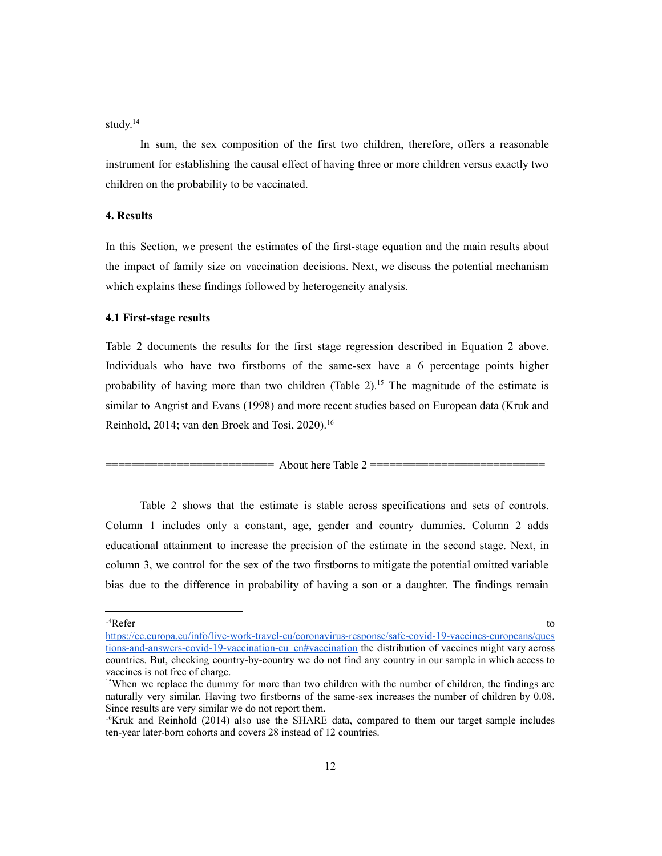study. 14

In sum, the sex composition of the first two children, therefore, offers a reasonable instrument for establishing the causal effect of having three or more children versus exactly two children on the probability to be vaccinated.

#### **4. Results**

In this Section, we present the estimates of the first-stage equation and the main results about the impact of family size on vaccination decisions. Next, we discuss the potential mechanism which explains these findings followed by heterogeneity analysis.

### **4.1 First-stage results**

Table 2 documents the results for the first stage regression described in Equation 2 above. Individuals who have two firstborns of the same-sex have a 6 percentage points higher probability of having more than two children (Table 2).<sup>15</sup> The magnitude of the estimate is similar to Angrist and Evans (1998) and more recent studies based on European data (Kruk and Reinhold, 2014; van den Broek and Tosi, 2020).<sup>16</sup>

 $=$  About here Table 2  $=$ 

Table 2 shows that the estimate is stable across specifications and sets of controls. Column 1 includes only a constant, age, gender and country dummies. Column 2 adds educational attainment to increase the precision of the estimate in the second stage. Next, in column 3, we control for the sex of the two firstborns to mitigate the potential omitted variable bias due to the difference in probability of having a son or a daughter. The findings remain

<sup>&</sup>lt;sup>14</sup>Refer Refer to the contract of the contract of the contract of the contract of the contract of the contract of the contract of the contract of the contract of the contract of the contract of the contract of the contract of the c

https://ec.europa.eu/info/live-work-travel-eu/coronavirus-response/safe-covid-19-vaccines-europeans/ques tions-and-answers-covid-19-vaccination-eu\_en#vaccination the distribution of vaccines might vary across countries. But, checking country-by-country we do not find any country in our sample in which access to vaccines is not free of charge.

<sup>&</sup>lt;sup>15</sup>When we replace the dummy for more than two children with the number of children, the findings are naturally very similar. Having two firstborns of the same-sex increases the number of children by 0.08. Since results are very similar we do not report them.

<sup>&</sup>lt;sup>16</sup>Kruk and Reinhold (2014) also use the SHARE data, compared to them our target sample includes ten-year later-born cohorts and covers 28 instead of 12 countries.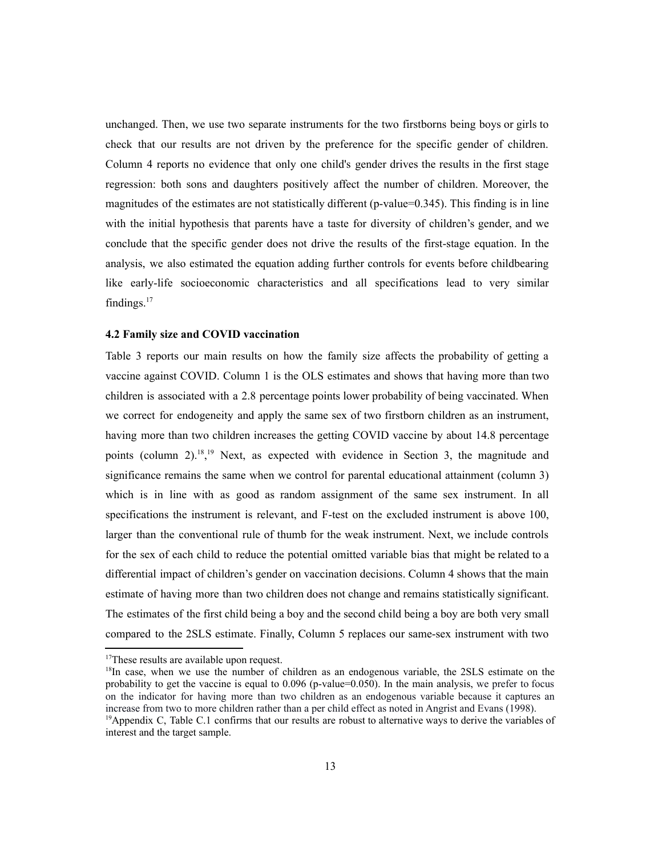unchanged. Then, we use two separate instruments for the two firstborns being boys or girls to check that our results are not driven by the preference for the specific gender of children. Column 4 reports no evidence that only one child's gender drives the results in the first stage regression: both sons and daughters positively affect the number of children. Moreover, the magnitudes of the estimates are not statistically different (p-value=0.345). This finding is in line with the initial hypothesis that parents have a taste for diversity of children's gender, and we conclude that the specific gender does not drive the results of the first-stage equation. In the analysis, we also estimated the equation adding further controls for events before childbearing like early-life socioeconomic characteristics and all specifications lead to very similar findings. $17$ 

#### **4.2 Family size and COVID vaccination**

Table 3 reports our main results on how the family size affects the probability of getting a vaccine against COVID. Column 1 is the OLS estimates and shows that having more than two children is associated with a 2.8 percentage points lower probability of being vaccinated. When we correct for endogeneity and apply the same sex of two firstborn children as an instrument, having more than two children increases the getting COVID vaccine by about 14.8 percentage points (column 2).<sup>18, 19</sup> Next, as expected with evidence in Section 3, the magnitude and significance remains the same when we control for parental educational attainment (column 3) which is in line with as good as random assignment of the same sex instrument. In all specifications the instrument is relevant, and F-test on the excluded instrument is above 100, larger than the conventional rule of thumb for the weak instrument. Next, we include controls for the sex of each child to reduce the potential omitted variable bias that might be related to a differential impact of children's gender on vaccination decisions. Column 4 shows that the main estimate of having more than two children does not change and remains statistically significant. The estimates of the first child being a boy and the second child being a boy are both very small compared to the 2SLS estimate. Finally, Column 5 replaces our same-sex instrument with two

<sup>&</sup>lt;sup>17</sup>These results are available upon request.

<sup>&</sup>lt;sup>19</sup>Appendix C, Table C.1 confirms that our results are robust to alternative ways to derive the variables of interest and the target sample. <sup>18</sup>In case, when we use the number of children as an endogenous variable, the 2SLS estimate on the probability to get the vaccine is equal to  $0.096$  (p-value= $0.050$ ). In the main analysis, we prefer to focus on the indicator for having more than two children as an endogenous variable because it captures an increase from two to more children rather than a per child effect as noted in Angrist and Evans (1998).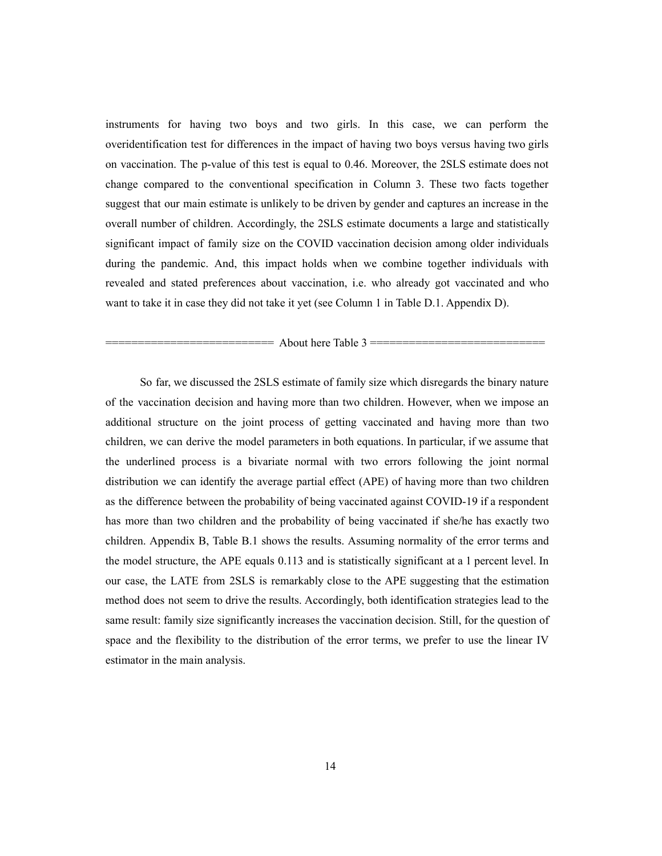instruments for having two boys and two girls. In this case, we can perform the overidentification test for differences in the impact of having two boys versus having two girls on vaccination. The p-value of this test is equal to 0.46. Moreover, the 2SLS estimate does not change compared to the conventional specification in Column 3. These two facts together suggest that our main estimate is unlikely to be driven by gender and captures an increase in the overall number of children. Accordingly, the 2SLS estimate documents a large and statistically significant impact of family size on the COVID vaccination decision among older individuals during the pandemic. And, this impact holds when we combine together individuals with revealed and stated preferences about vaccination, i.e. who already got vaccinated and who want to take it in case they did not take it yet (see Column 1 in Table D.1. Appendix D).

#### $=$  About here Table 3  $=$

So far, we discussed the 2SLS estimate of family size which disregards the binary nature of the vaccination decision and having more than two children. However, when we impose an additional structure on the joint process of getting vaccinated and having more than two children, we can derive the model parameters in both equations. In particular, if we assume that the underlined process is a bivariate normal with two errors following the joint normal distribution we can identify the average partial effect (APE) of having more than two children as the difference between the probability of being vaccinated against COVID-19 if a respondent has more than two children and the probability of being vaccinated if she/he has exactly two children. Appendix B, Table B.1 shows the results. Assuming normality of the error terms and the model structure, the APE equals 0.113 and is statistically significant at a 1 percent level. In our case, the LATE from 2SLS is remarkably close to the APE suggesting that the estimation method does not seem to drive the results. Accordingly, both identification strategies lead to the same result: family size significantly increases the vaccination decision. Still, for the question of space and the flexibility to the distribution of the error terms, we prefer to use the linear IV estimator in the main analysis.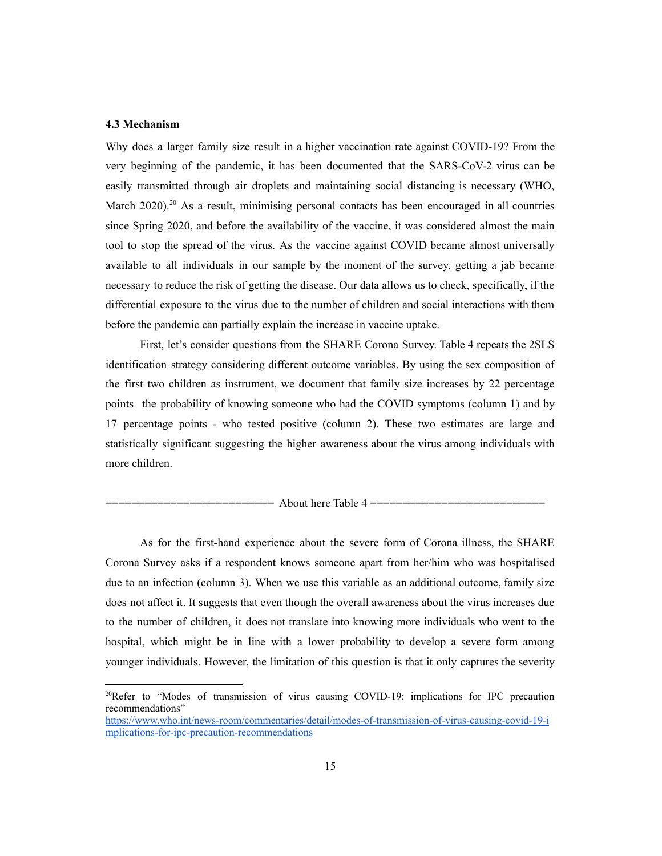#### **4.3 Mechanism**

Why does a larger family size result in a higher vaccination rate against COVID-19? From the very beginning of the pandemic, it has been documented that the SARS-CoV-2 virus can be easily transmitted through air droplets and maintaining social distancing is necessary (WHO, March  $2020$ .<sup>20</sup> As a result, minimising personal contacts has been encouraged in all countries since Spring 2020, and before the availability of the vaccine, it was considered almost the main tool to stop the spread of the virus. As the vaccine against COVID became almost universally available to all individuals in our sample by the moment of the survey, getting a jab became necessary to reduce the risk of getting the disease. Our data allows us to check, specifically, if the differential exposure to the virus due to the number of children and social interactions with them before the pandemic can partially explain the increase in vaccine uptake.

First, let's consider questions from the SHARE Corona Survey. Table 4 repeats the 2SLS identification strategy considering different outcome variables. By using the sex composition of the first two children as instrument, we document that family size increases by 22 percentage points the probability of knowing someone who had the COVID symptoms (column 1) and by 17 percentage points - who tested positive (column 2). These two estimates are large and statistically significant suggesting the higher awareness about the virus among individuals with more children.

= About here Table  $4 =$ 

As for the first-hand experience about the severe form of Corona illness, the SHARE Corona Survey asks if a respondent knows someone apart from her/him who was hospitalised due to an infection (column 3). When we use this variable as an additional outcome, family size does not affect it. It suggests that even though the overall awareness about the virus increases due to the number of children, it does not translate into knowing more individuals who went to the hospital, which might be in line with a lower probability to develop a severe form among younger individuals. However, the limitation of this question is that it only captures the severity

<sup>&</sup>lt;sup>20</sup>Refer to "Modes of transmission of virus causing COVID-19: implications for IPC precaution recommendations" https://www.who.int/news-room/commentaries/detail/modes-of-transmission-of-virus-causing-covid-19-i

mplications-for-ipc-precaution-recommendations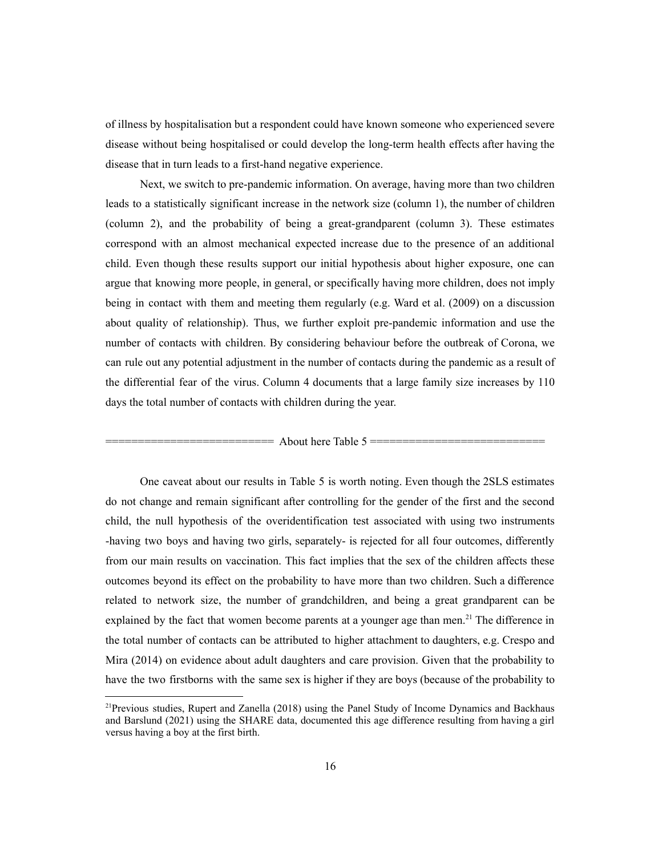of illness by hospitalisation but a respondent could have known someone who experienced severe disease without being hospitalised or could develop the long-term health effects after having the disease that in turn leads to a first-hand negative experience.

Next, we switch to pre-pandemic information. On average, having more than two children leads to a statistically significant increase in the network size (column 1), the number of children (column 2), and the probability of being a great-grandparent (column 3). These estimates correspond with an almost mechanical expected increase due to the presence of an additional child. Even though these results support our initial hypothesis about higher exposure, one can argue that knowing more people, in general, or specifically having more children, does not imply being in contact with them and meeting them regularly (e.g. Ward et al. (2009) on a discussion about quality of relationship). Thus, we further exploit pre-pandemic information and use the number of contacts with children. By considering behaviour before the outbreak of Corona, we can rule out any potential adjustment in the number of contacts during the pandemic as a result of the differential fear of the virus. Column 4 documents that a large family size increases by 110 days the total number of contacts with children during the year.

 $=$  About here Table 5  $=$ 

One caveat about our results in Table 5 is worth noting. Even though the 2SLS estimates do not change and remain significant after controlling for the gender of the first and the second child, the null hypothesis of the overidentification test associated with using two instruments -having two boys and having two girls, separately- is rejected for all four outcomes, differently from our main results on vaccination. This fact implies that the sex of the children affects these outcomes beyond its effect on the probability to have more than two children. Such a difference related to network size, the number of grandchildren, and being a great grandparent can be explained by the fact that women become parents at a younger age than men.<sup>21</sup> The difference in the total number of contacts can be attributed to higher attachment to daughters, e.g. Crespo and Mira (2014) on evidence about adult daughters and care provision. Given that the probability to have the two firstborns with the same sex is higher if they are boys (because of the probability to

<sup>&</sup>lt;sup>21</sup> Previous studies, Rupert and Zanella (2018) using the Panel Study of Income Dynamics and Backhaus and Barslund (2021) using the SHARE data, documented this age difference resulting from having a girl versus having a boy at the first birth.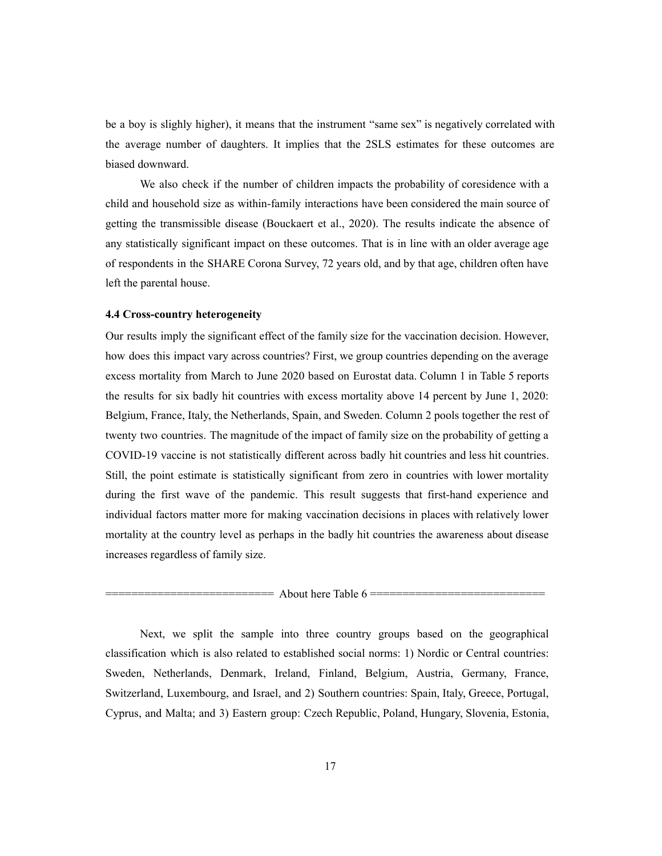be a boy is slighly higher), it means that the instrument "same sex" is negatively correlated with the average number of daughters. It implies that the 2SLS estimates for these outcomes are biased downward.

We also check if the number of children impacts the probability of coresidence with a child and household size as within-family interactions have been considered the main source of getting the transmissible disease (Bouckaert et al., 2020). The results indicate the absence of any statistically significant impact on these outcomes. That is in line with an older average age of respondents in the SHARE Corona Survey, 72 years old, and by that age, children often have left the parental house.

#### **4.4 Cross-country heterogeneity**

Our results imply the significant effect of the family size for the vaccination decision. However, how does this impact vary across countries? First, we group countries depending on the average excess mortality from March to June 2020 based on Eurostat data. Column 1 in Table 5 reports the results for six badly hit countries with excess mortality above 14 percent by June 1, 2020: Belgium, France, Italy, the Netherlands, Spain, and Sweden. Column 2 pools together the rest of twenty two countries. The magnitude of the impact of family size on the probability of getting a COVID-19 vaccine is not statistically different across badly hit countries and less hit countries. Still, the point estimate is statistically significant from zero in countries with lower mortality during the first wave of the pandemic. This result suggests that first-hand experience and individual factors matter more for making vaccination decisions in places with relatively lower mortality at the country level as perhaps in the badly hit countries the awareness about disease increases regardless of family size.

#### $==$  About here Table 6  $==$

Next, we split the sample into three country groups based on the geographical classification which is also related to established social norms: 1) Nordic or Central countries: Sweden, Netherlands, Denmark, Ireland, Finland, Belgium, Austria, Germany, France, Switzerland, Luxembourg, and Israel, and 2) Southern countries: Spain, Italy, Greece, Portugal, Cyprus, and Malta; and 3) Eastern group: Czech Republic, Poland, Hungary, Slovenia, Estonia,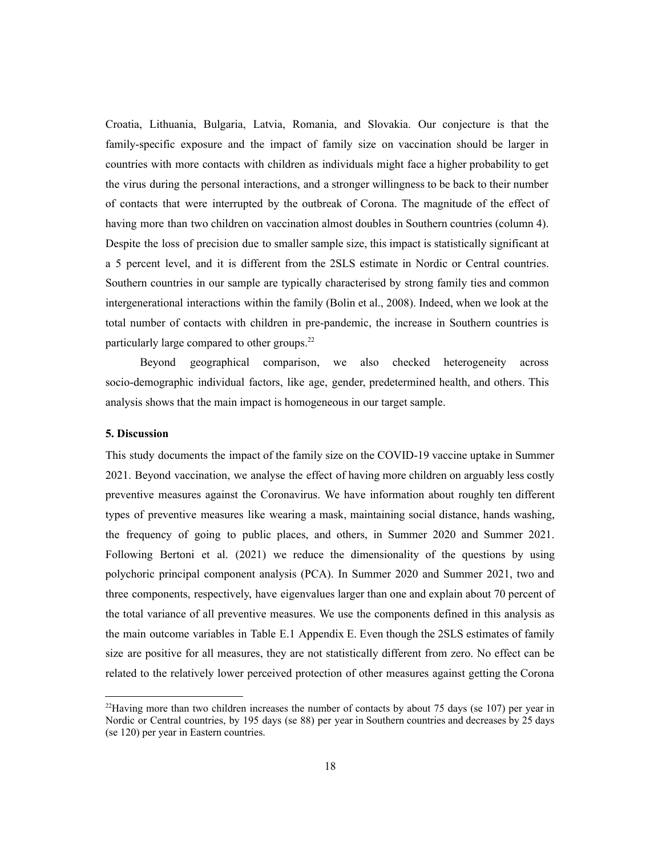Croatia, Lithuania, Bulgaria, Latvia, Romania, and Slovakia. Our conjecture is that the family-specific exposure and the impact of family size on vaccination should be larger in countries with more contacts with children as individuals might face a higher probability to get the virus during the personal interactions, and a stronger willingness to be back to their number of contacts that were interrupted by the outbreak of Corona. The magnitude of the effect of having more than two children on vaccination almost doubles in Southern countries (column 4). Despite the loss of precision due to smaller sample size, this impact is statistically significant at a 5 percent level, and it is different from the 2SLS estimate in Nordic or Central countries. Southern countries in our sample are typically characterised by strong family ties and common intergenerational interactions within the family (Bolin et al., 2008). Indeed, when we look at the total number of contacts with children in pre-pandemic, the increase in Southern countries is particularly large compared to other groups.<sup>22</sup>

Beyond geographical comparison, we also checked heterogeneity across socio-demographic individual factors, like age, gender, predetermined health, and others. This analysis shows that the main impact is homogeneous in our target sample.

#### **5. Discussion**

This study documents the impact of the family size on the COVID-19 vaccine uptake in Summer 2021. Beyond vaccination, we analyse the effect of having more children on arguably less costly preventive measures against the Coronavirus. We have information about roughly ten different types of preventive measures like wearing a mask, maintaining social distance, hands washing, the frequency of going to public places, and others, in Summer 2020 and Summer 2021. Following Bertoni et al. (2021) we reduce the dimensionality of the questions by using polychoric principal component analysis (PCA). In Summer 2020 and Summer 2021, two and three components, respectively, have eigenvalues larger than one and explain about 70 percent of the total variance of all preventive measures. We use the components defined in this analysis as the main outcome variables in Table E.1 Appendix E. Even though the 2SLS estimates of family size are positive for all measures, they are not statistically different from zero. No effect can be related to the relatively lower perceived protection of other measures against getting the Corona

<sup>&</sup>lt;sup>22</sup> Having more than two children increases the number of contacts by about 75 days (se  $107$ ) per year in Nordic or Central countries, by 195 days (se 88) per year in Southern countries and decreases by 25 days (se 120) per year in Eastern countries.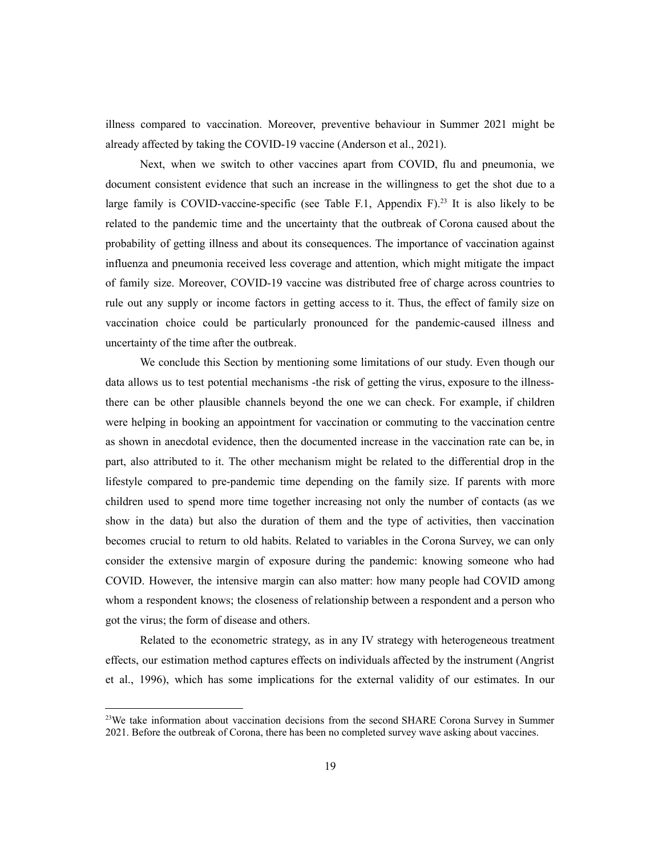illness compared to vaccination. Moreover, preventive behaviour in Summer 2021 might be already affected by taking the COVID-19 vaccine (Anderson et al., 2021).

Next, when we switch to other vaccines apart from COVID, flu and pneumonia, we document consistent evidence that such an increase in the willingness to get the shot due to a large family is COVID-vaccine-specific (see Table F.1, Appendix F).<sup>23</sup> It is also likely to be related to the pandemic time and the uncertainty that the outbreak of Corona caused about the probability of getting illness and about its consequences. The importance of vaccination against influenza and pneumonia received less coverage and attention, which might mitigate the impact of family size. Moreover, COVID-19 vaccine was distributed free of charge across countries to rule out any supply or income factors in getting access to it. Thus, the effect of family size on vaccination choice could be particularly pronounced for the pandemic-caused illness and uncertainty of the time after the outbreak.

We conclude this Section by mentioning some limitations of our study. Even though our data allows us to test potential mechanisms -the risk of getting the virus, exposure to the illnessthere can be other plausible channels beyond the one we can check. For example, if children were helping in booking an appointment for vaccination or commuting to the vaccination centre as shown in anecdotal evidence, then the documented increase in the vaccination rate can be, in part, also attributed to it. The other mechanism might be related to the differential drop in the lifestyle compared to pre-pandemic time depending on the family size. If parents with more children used to spend more time together increasing not only the number of contacts (as we show in the data) but also the duration of them and the type of activities, then vaccination becomes crucial to return to old habits. Related to variables in the Corona Survey, we can only consider the extensive margin of exposure during the pandemic: knowing someone who had COVID. However, the intensive margin can also matter: how many people had COVID among whom a respondent knows; the closeness of relationship between a respondent and a person who got the virus; the form of disease and others.

Related to the econometric strategy, as in any IV strategy with heterogeneous treatment effects, our estimation method captures effects on individuals affected by the instrument (Angrist et al., 1996), which has some implications for the external validity of our estimates. In our

 $2<sup>23</sup>$ We take information about vaccination decisions from the second SHARE Corona Survey in Summer 2021. Before the outbreak of Corona, there has been no completed survey wave asking about vaccines.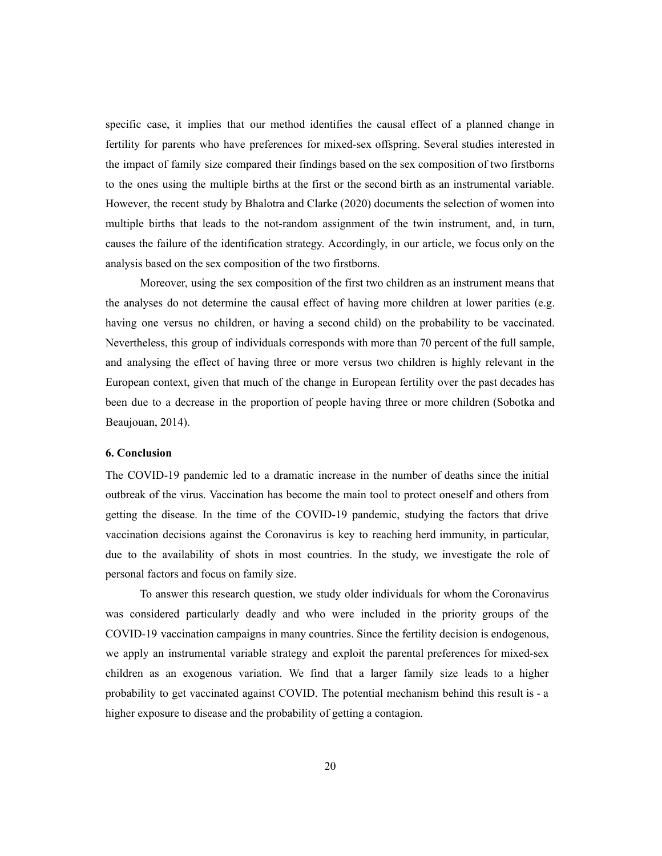specific case, it implies that our method identifies the causal effect of a planned change in fertility for parents who have preferences for mixed-sex offspring. Several studies interested in the impact of family size compared their findings based on the sex composition of two firstborns to the ones using the multiple births at the first or the second birth as an instrumental variable. However, the recent study by Bhalotra and Clarke (2020) documents the selection of women into multiple births that leads to the not-random assignment of the twin instrument, and, in turn, causes the failure of the identification strategy. Accordingly, in our article, we focus only on the analysis based on the sex composition of the two firstborns.

Moreover, using the sex composition of the first two children as an instrument means that the analyses do not determine the causal effect of having more children at lower parities (e.g. having one versus no children, or having a second child) on the probability to be vaccinated. Nevertheless, this group of individuals corresponds with more than 70 percent of the full sample, and analysing the effect of having three or more versus two children is highly relevant in the European context, given that much of the change in European fertility over the past decades has been due to a decrease in the proportion of people having three or more children (Sobotka and Beaujouan, 2014).

#### **6. Conclusion**

The COVID-19 pandemic led to a dramatic increase in the number of deaths since the initial outbreak of the virus. Vaccination has become the main tool to protect oneself and others from getting the disease. In the time of the COVID-19 pandemic, studying the factors that drive vaccination decisions against the Coronavirus is key to reaching herd immunity, in particular, due to the availability of shots in most countries. In the study, we investigate the role of personal factors and focus on family size.

To answer this research question, we study older individuals for whom the Coronavirus was considered particularly deadly and who were included in the priority groups of the COVID-19 vaccination campaigns in many countries. Since the fertility decision is endogenous, we apply an instrumental variable strategy and exploit the parental preferences for mixed-sex children as an exogenous variation. We find that a larger family size leads to a higher probability to get vaccinated against COVID. The potential mechanism behind this result is - a higher exposure to disease and the probability of getting a contagion.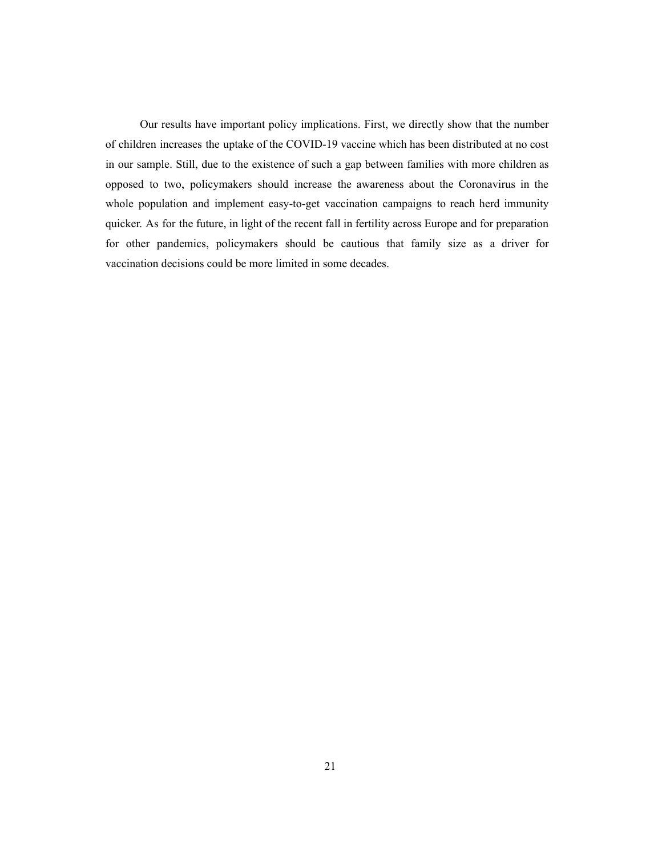Our results have important policy implications. First, we directly show that the number of children increases the uptake of the COVID-19 vaccine which has been distributed at no cost in our sample. Still, due to the existence of such a gap between families with more children as opposed to two, policymakers should increase the awareness about the Coronavirus in the whole population and implement easy-to-get vaccination campaigns to reach herd immunity quicker. As for the future, in light of the recent fall in fertility across Europe and for preparation for other pandemics, policymakers should be cautious that family size as a driver for vaccination decisions could be more limited in some decades.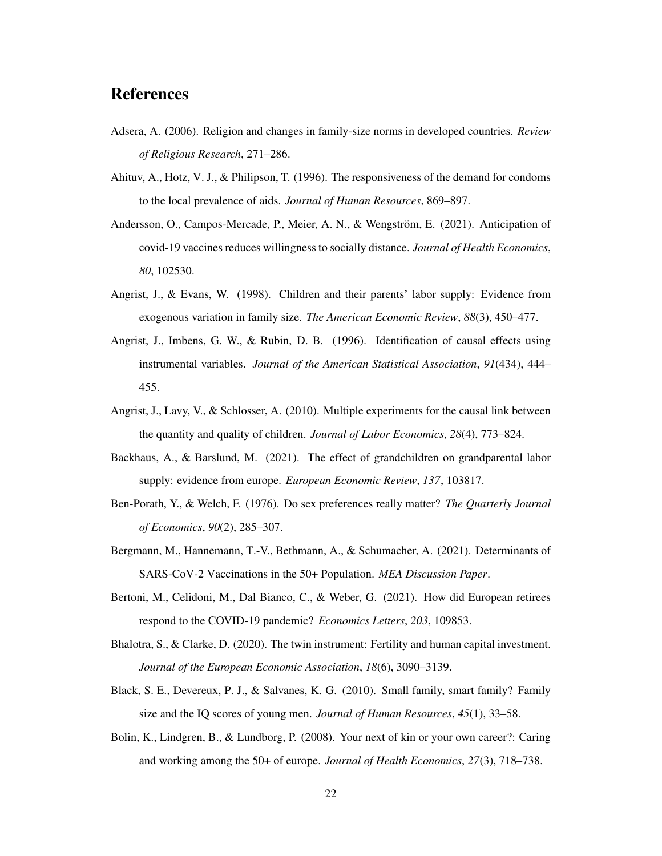## References

- Adsera, A. (2006). Religion and changes in family-size norms in developed countries. *Review of Religious Research*, 271–286.
- Ahituv, A., Hotz, V. J., & Philipson, T. (1996). The responsiveness of the demand for condoms to the local prevalence of aids. *Journal of Human Resources*, 869–897.
- Andersson, O., Campos-Mercade, P., Meier, A. N., & Wengström, E. (2021). Anticipation of covid-19 vaccines reduces willingness to socially distance. *Journal of Health Economics*, *80*, 102530.
- Angrist, J., & Evans, W. (1998). Children and their parents' labor supply: Evidence from exogenous variation in family size. *The American Economic Review*, *88*(3), 450–477.
- Angrist, J., Imbens, G. W., & Rubin, D. B. (1996). Identification of causal effects using instrumental variables. *Journal of the American Statistical Association*, *91*(434), 444– 455.
- Angrist, J., Lavy, V., & Schlosser, A. (2010). Multiple experiments for the causal link between the quantity and quality of children. *Journal of Labor Economics*, *28*(4), 773–824.
- Backhaus, A., & Barslund, M. (2021). The effect of grandchildren on grandparental labor supply: evidence from europe. *European Economic Review*, *137*, 103817.
- Ben-Porath, Y., & Welch, F. (1976). Do sex preferences really matter? *The Quarterly Journal of Economics*, *90*(2), 285–307.
- Bergmann, M., Hannemann, T.-V., Bethmann, A., & Schumacher, A. (2021). Determinants of SARS-CoV-2 Vaccinations in the 50+ Population. *MEA Discussion Paper*.
- Bertoni, M., Celidoni, M., Dal Bianco, C., & Weber, G. (2021). How did European retirees respond to the COVID-19 pandemic? *Economics Letters*, *203*, 109853.
- Bhalotra, S., & Clarke, D. (2020). The twin instrument: Fertility and human capital investment. *Journal of the European Economic Association*, *18*(6), 3090–3139.
- Black, S. E., Devereux, P. J., & Salvanes, K. G. (2010). Small family, smart family? Family size and the IQ scores of young men. *Journal of Human Resources*, *45*(1), 33–58.
- Bolin, K., Lindgren, B., & Lundborg, P. (2008). Your next of kin or your own career?: Caring and working among the 50+ of europe. *Journal of Health Economics*, *27*(3), 718–738.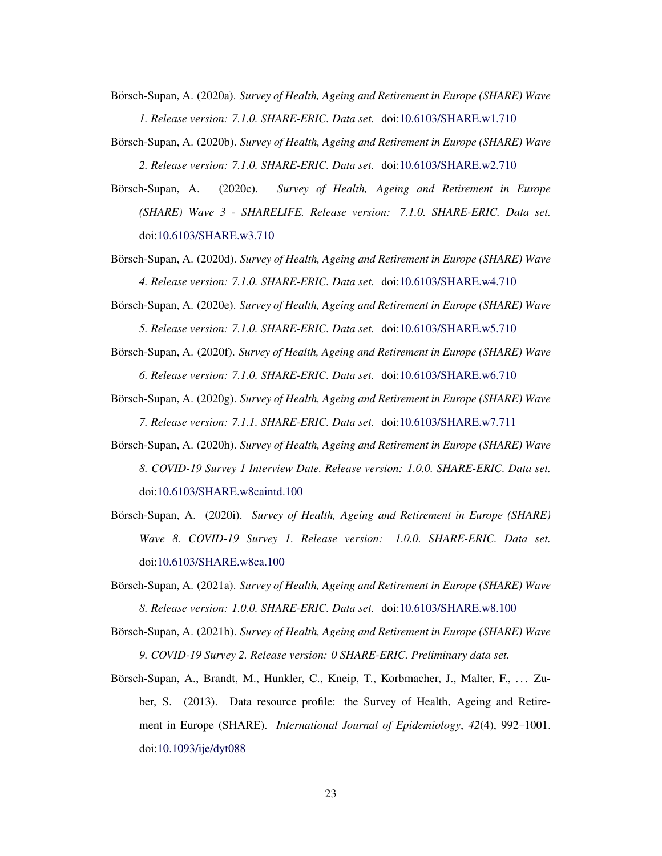Börsch-Supan, A. (2020a). *Survey of Health, Ageing and Retirement in Europe (SHARE) Wave 1. Release version: 7.1.0. SHARE-ERIC. Data set.* doi:10.6103/SHARE.w1.710

Börsch-Supan, A. (2020b). *Survey of Health, Ageing and Retirement in Europe (SHARE) Wave 2. Release version: 7.1.0. SHARE-ERIC. Data set.* doi:10.6103/SHARE.w2.710

Börsch-Supan, A. (2020c). Survey of Health, Ageing and Retirement in Europe *(SHARE) Wave 3 - SHARELIFE. Release version: 7.1.0. SHARE-ERIC. Data set.* doi:10.6103/SHARE.w3.710

- Börsch-Supan, A. (2020d). *Survey of Health, Ageing and Retirement in Europe (SHARE) Wave 4. Release version: 7.1.0. SHARE-ERIC. Data set.* doi:10.6103/SHARE.w4.710
- Börsch-Supan, A. (2020e). *Survey of Health, Ageing and Retirement in Europe (SHARE) Wave 5. Release version: 7.1.0. SHARE-ERIC. Data set.* doi:10.6103/SHARE.w5.710
- Börsch-Supan, A. (2020f). *Survey of Health, Ageing and Retirement in Europe (SHARE) Wave 6. Release version: 7.1.0. SHARE-ERIC. Data set.* doi:10.6103/SHARE.w6.710
- Börsch-Supan, A. (2020g). *Survey of Health, Ageing and Retirement in Europe (SHARE) Wave 7. Release version: 7.1.1. SHARE-ERIC. Data set.* doi:10.6103/SHARE.w7.711
- Börsch-Supan, A. (2020h). *Survey of Health, Ageing and Retirement in Europe (SHARE) Wave 8. COVID-19 Survey 1 Interview Date. Release version: 1.0.0. SHARE-ERIC. Data set.* doi:10.6103/SHARE.w8caintd.100
- Börsch-Supan, A. (2020i). *Survey of Health, Ageing and Retirement in Europe (SHARE) Wave 8. COVID-19 Survey 1. Release version: 1.0.0. SHARE-ERIC. Data set.* doi:10.6103/SHARE.w8ca.100
- Börsch-Supan, A. (2021a). *Survey of Health, Ageing and Retirement in Europe (SHARE) Wave 8. Release version: 1.0.0. SHARE-ERIC. Data set.* doi:10.6103/SHARE.w8.100
- Börsch-Supan, A. (2021b). *Survey of Health, Ageing and Retirement in Europe (SHARE) Wave 9. COVID-19 Survey 2. Release version: 0 SHARE-ERIC. Preliminary data set.*
- Börsch-Supan, A., Brandt, M., Hunkler, C., Kneip, T., Korbmacher, J., Malter, F., ... Zuber, S. (2013). Data resource profile: the Survey of Health, Ageing and Retirement in Europe (SHARE). *International Journal of Epidemiology*, *42*(4), 992–1001. doi:10.1093/ije/dyt088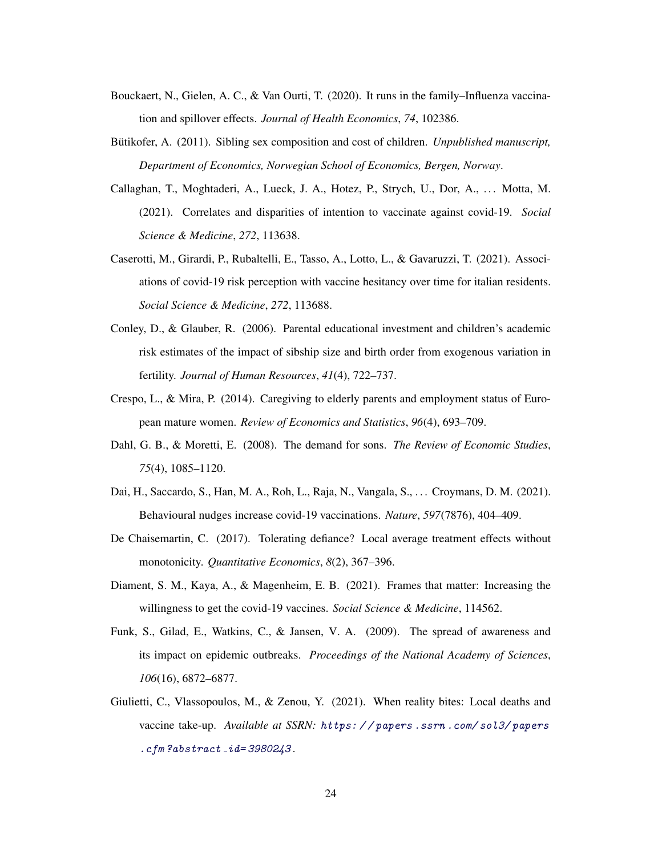- Bouckaert, N., Gielen, A. C., & Van Ourti, T. (2020). It runs in the family–Influenza vaccination and spillover effects. *Journal of Health Economics*, *74*, 102386.
- Bütikofer, A. (2011). Sibling sex composition and cost of children. *Unpublished manuscript*, *Department of Economics, Norwegian School of Economics, Bergen, Norway*.
- Callaghan, T., Moghtaderi, A., Lueck, J. A., Hotez, P., Strych, U., Dor, A., . . . Motta, M. (2021). Correlates and disparities of intention to vaccinate against covid-19. *Social Science & Medicine*, *272*, 113638.
- Caserotti, M., Girardi, P., Rubaltelli, E., Tasso, A., Lotto, L., & Gavaruzzi, T. (2021). Associations of covid-19 risk perception with vaccine hesitancy over time for italian residents. *Social Science & Medicine*, *272*, 113688.
- Conley, D., & Glauber, R. (2006). Parental educational investment and children's academic risk estimates of the impact of sibship size and birth order from exogenous variation in fertility. *Journal of Human Resources*, *41*(4), 722–737.
- Crespo, L., & Mira, P. (2014). Caregiving to elderly parents and employment status of European mature women. *Review of Economics and Statistics*, *96*(4), 693–709.
- Dahl, G. B., & Moretti, E. (2008). The demand for sons. *The Review of Economic Studies*, *75*(4), 1085–1120.
- Dai, H., Saccardo, S., Han, M. A., Roh, L., Raja, N., Vangala, S., . . . Croymans, D. M. (2021). Behavioural nudges increase covid-19 vaccinations. *Nature*, *597*(7876), 404–409.
- De Chaisemartin, C. (2017). Tolerating defiance? Local average treatment effects without monotonicity. *Quantitative Economics*, *8*(2), 367–396.
- Diament, S. M., Kaya, A., & Magenheim, E. B. (2021). Frames that matter: Increasing the willingness to get the covid-19 vaccines. *Social Science & Medicine*, 114562.
- Funk, S., Gilad, E., Watkins, C., & Jansen, V. A. (2009). The spread of awareness and its impact on epidemic outbreaks. *Proceedings of the National Academy of Sciences*, *106*(16), 6872–6877.
- Giulietti, C., Vlassopoulos, M., & Zenou, Y. (2021). When reality bites: Local deaths and vaccine take-up. *Available at SSRN:* https: / / papers .ssrn .com/ sol3/ papers  $c$ fm?abstract\_ $id = 3980243$ .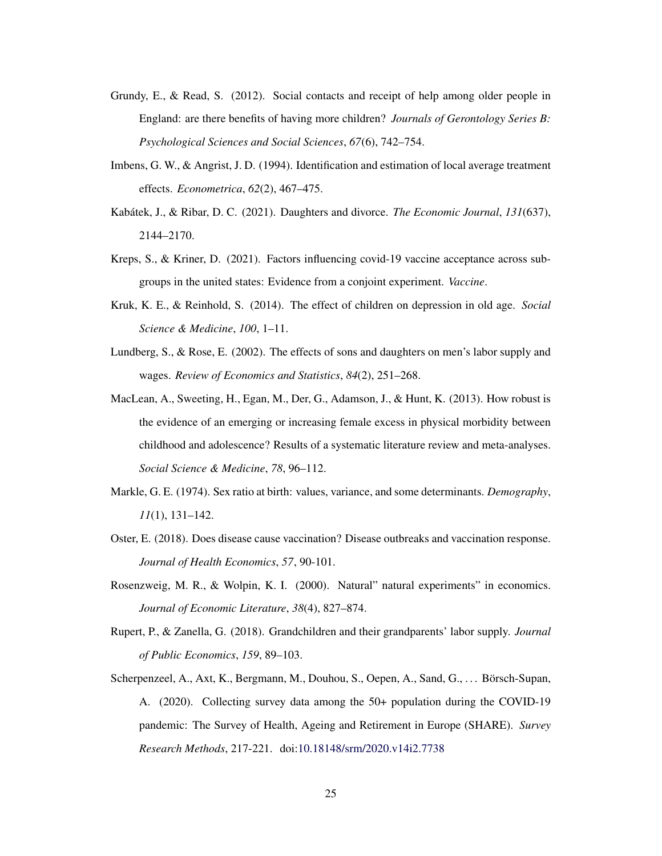- Grundy, E., & Read, S. (2012). Social contacts and receipt of help among older people in England: are there benefits of having more children? *Journals of Gerontology Series B: Psychological Sciences and Social Sciences*, *67*(6), 742–754.
- Imbens, G. W., & Angrist, J. D. (1994). Identification and estimation of local average treatment effects. *Econometrica*, *62*(2), 467–475.
- Kabátek, J., & Ribar, D. C. (2021). Daughters and divorce. *The Economic Journal*, 131(637), 2144–2170.
- Kreps, S., & Kriner, D. (2021). Factors influencing covid-19 vaccine acceptance across subgroups in the united states: Evidence from a conjoint experiment. *Vaccine*.
- Kruk, K. E., & Reinhold, S. (2014). The effect of children on depression in old age. *Social Science & Medicine*, *100*, 1–11.
- Lundberg, S., & Rose, E. (2002). The effects of sons and daughters on men's labor supply and wages. *Review of Economics and Statistics*, *84*(2), 251–268.
- MacLean, A., Sweeting, H., Egan, M., Der, G., Adamson, J., & Hunt, K. (2013). How robust is the evidence of an emerging or increasing female excess in physical morbidity between childhood and adolescence? Results of a systematic literature review and meta-analyses. *Social Science & Medicine*, *78*, 96–112.
- Markle, G. E. (1974). Sex ratio at birth: values, variance, and some determinants. *Demography*, *11*(1), 131–142.
- Oster, E. (2018). Does disease cause vaccination? Disease outbreaks and vaccination response. *Journal of Health Economics*, *57*, 90-101.
- Rosenzweig, M. R., & Wolpin, K. I. (2000). Natural" natural experiments" in economics. *Journal of Economic Literature*, *38*(4), 827–874.
- Rupert, P., & Zanella, G. (2018). Grandchildren and their grandparents' labor supply. *Journal of Public Economics*, *159*, 89–103.
- Scherpenzeel, A., Axt, K., Bergmann, M., Douhou, S., Oepen, A., Sand, G., ... Börsch-Supan, A. (2020). Collecting survey data among the 50+ population during the COVID-19 pandemic: The Survey of Health, Ageing and Retirement in Europe (SHARE). *Survey Research Methods*, 217-221. doi:10.18148/srm/2020.v14i2.7738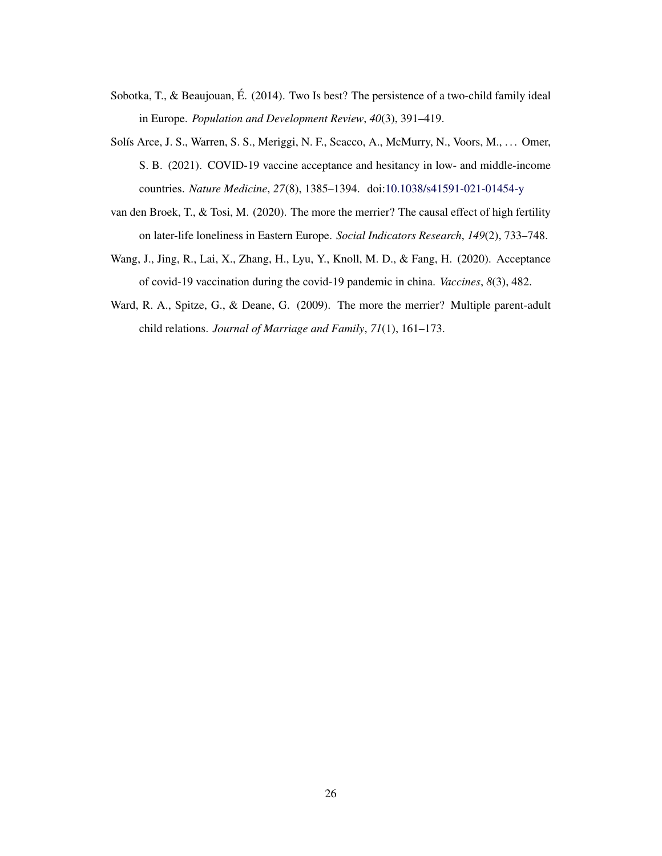- Sobotka, T., & Beaujouan, É. (2014). Two Is best? The persistence of a two-child family ideal in Europe. *Population and Development Review*, *40*(3), 391–419.
- Solís Arce, J. S., Warren, S. S., Meriggi, N. F., Scacco, A., McMurry, N., Voors, M., ... Omer, S. B. (2021). COVID-19 vaccine acceptance and hesitancy in low- and middle-income countries. *Nature Medicine*, *27*(8), 1385–1394. doi:10.1038/s41591-021-01454-y
- van den Broek, T., & Tosi, M. (2020). The more the merrier? The causal effect of high fertility on later-life loneliness in Eastern Europe. *Social Indicators Research*, *149*(2), 733–748.
- Wang, J., Jing, R., Lai, X., Zhang, H., Lyu, Y., Knoll, M. D., & Fang, H. (2020). Acceptance of covid-19 vaccination during the covid-19 pandemic in china. *Vaccines*, *8*(3), 482.
- Ward, R. A., Spitze, G., & Deane, G. (2009). The more the merrier? Multiple parent-adult child relations. *Journal of Marriage and Family*, *71*(1), 161–173.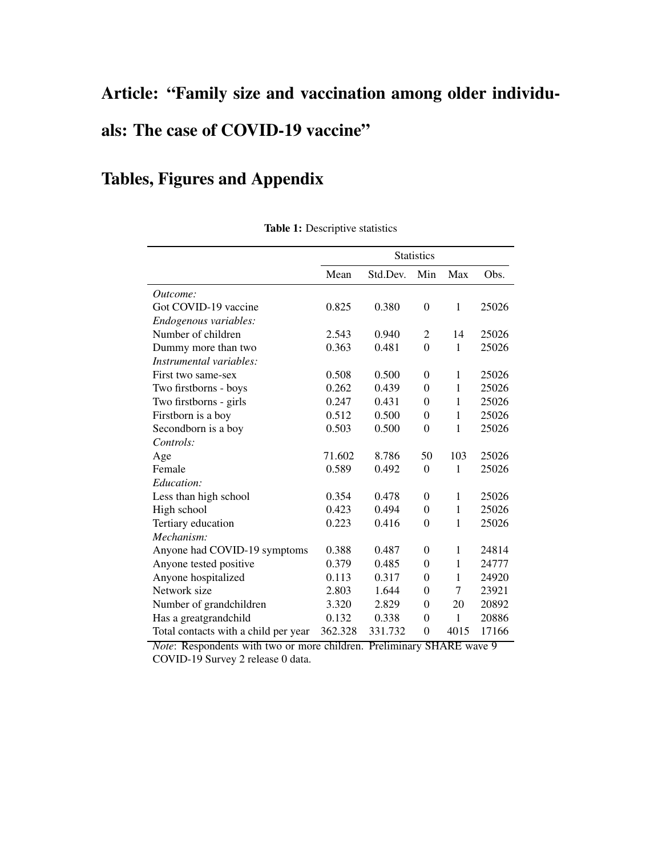# Article: "Family size and vaccination among older individuals: The case of COVID-19 vaccine"

# Tables, Figures and Appendix

|                                      |         |          | <b>Statistics</b> |              |       |
|--------------------------------------|---------|----------|-------------------|--------------|-------|
|                                      | Mean    | Std.Dev. | Min               | Max          | Obs.  |
| Outcome:                             |         |          |                   |              |       |
| Got COVID-19 vaccine                 | 0.825   | 0.380    | $\boldsymbol{0}$  | $\mathbf{1}$ | 25026 |
| Endogenous variables:                |         |          |                   |              |       |
| Number of children                   | 2.543   | 0.940    | $\overline{2}$    | 14           | 25026 |
| Dummy more than two                  | 0.363   | 0.481    | $\overline{0}$    | $\mathbf{1}$ | 25026 |
| Instrumental variables:              |         |          |                   |              |       |
| First two same-sex                   | 0.508   | 0.500    | $\theta$          | 1            | 25026 |
| Two firstborns - boys                | 0.262   | 0.439    | $\theta$          | 1            | 25026 |
| Two firstborns - girls               | 0.247   | 0.431    | $\theta$          | 1            | 25026 |
| Firstborn is a boy                   | 0.512   | 0.500    | $\theta$          | 1            | 25026 |
| Secondborn is a boy                  | 0.503   | 0.500    | $\theta$          | $\mathbf{1}$ | 25026 |
| Controls:                            |         |          |                   |              |       |
| Age                                  | 71.602  | 8.786    | 50                | 103          | 25026 |
| Female                               | 0.589   | 0.492    | $\overline{0}$    | $\mathbf{1}$ | 25026 |
| Education:                           |         |          |                   |              |       |
| Less than high school                | 0.354   | 0.478    | $\boldsymbol{0}$  | $\mathbf{1}$ | 25026 |
| High school                          | 0.423   | 0.494    | $\theta$          | 1            | 25026 |
| Tertiary education                   | 0.223   | 0.416    | $\boldsymbol{0}$  | 1            | 25026 |
| Mechanism:                           |         |          |                   |              |       |
| Anyone had COVID-19 symptoms         | 0.388   | 0.487    | $\theta$          | 1            | 24814 |
| Anyone tested positive               | 0.379   | 0.485    | $\theta$          | 1            | 24777 |
| Anyone hospitalized                  | 0.113   | 0.317    | 0                 | 1            | 24920 |
| Network size                         | 2.803   | 1.644    | $\theta$          | 7            | 23921 |
| Number of grandchildren              | 3.320   | 2.829    | $\theta$          | 20           | 20892 |
| Has a greatgrandchild                | 0.132   | 0.338    | $\theta$          | 1            | 20886 |
| Total contacts with a child per year | 362.328 | 331.732  | $\overline{0}$    | 4015         | 17166 |

Table 1: Descriptive statistics

*Note*: Respondents with two or more children. Preliminary SHARE wave 9 COVID-19 Survey 2 release 0 data.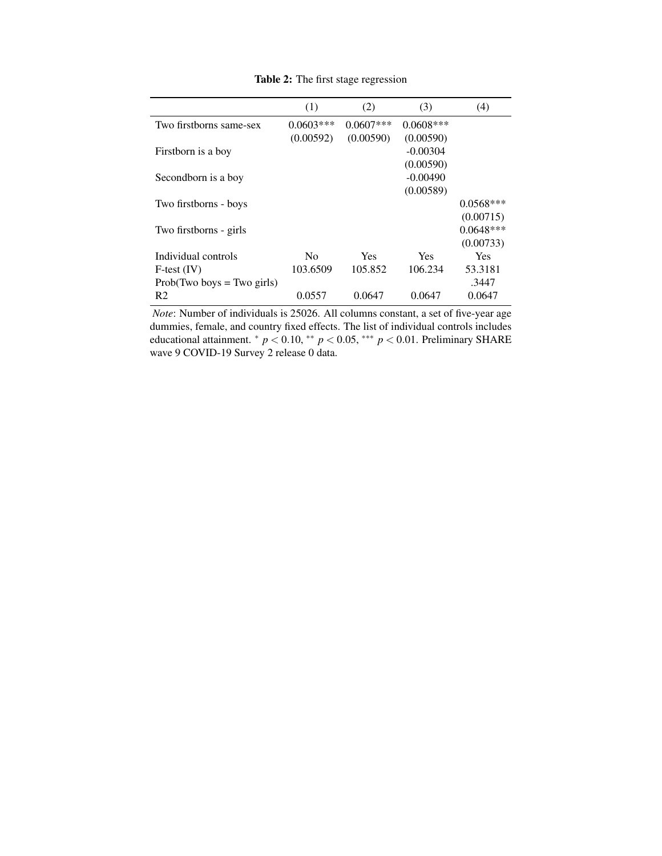|                              | (1)            | (2)         | (3)         | (4)         |
|------------------------------|----------------|-------------|-------------|-------------|
| Two firstborns same-sex      | $0.0603***$    | $0.0607***$ | $0.0608***$ |             |
|                              | (0.00592)      | (0.00590)   | (0.00590)   |             |
| Firstborn is a boy           |                |             | $-0.00304$  |             |
|                              |                |             | (0.00590)   |             |
| Secondborn is a boy          |                |             | $-0.00490$  |             |
|                              |                |             | (0.00589)   |             |
| Two firstborns - boys        |                |             |             | $0.0568***$ |
|                              |                |             |             | (0.00715)   |
| Two firstborns - girls       |                |             |             | $0.0648***$ |
|                              |                |             |             | (0.00733)   |
| Individual controls          | N <sub>0</sub> | Yes         | <b>Yes</b>  | <b>Yes</b>  |
| $F-test (IV)$                | 103.6509       | 105.852     | 106.234     | 53.3181     |
| $Prob(Two boys = Two girls)$ |                |             |             | .3447       |
| R <sub>2</sub>               | 0.0557         | 0.0647      | 0.0647      | 0.0647      |

Table 2: The first stage regression

*Note*: Number of individuals is 25026. All columns constant, a set of five-year age dummies, female, and country fixed effects. The list of individual controls includes educational attainment.  $* p < 0.10, ** p < 0.05, *** p < 0.01$ . Preliminary SHARE wave 9 COVID-19 Survey 2 release 0 data.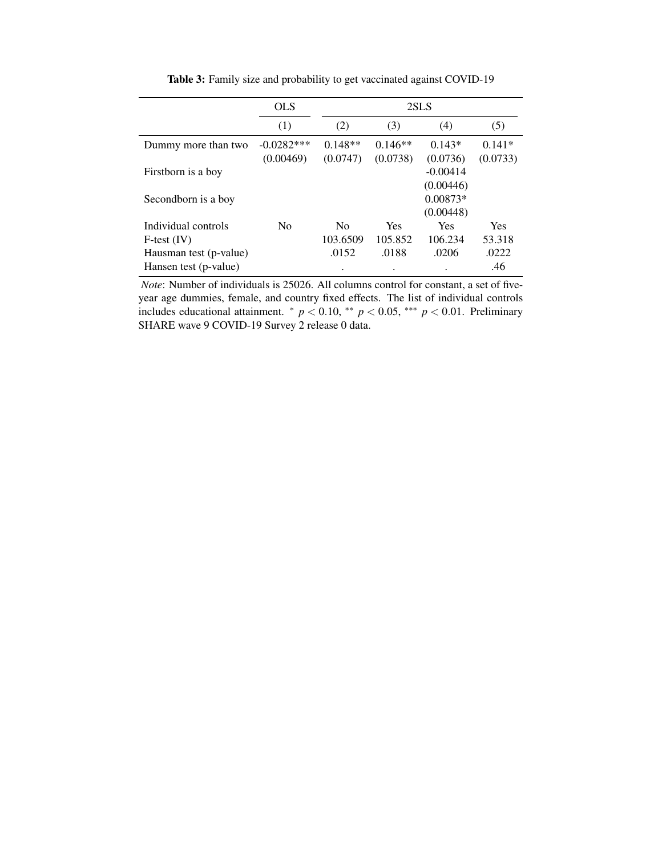|                        | <b>OLS</b>     | 2SLS           |            |            |          |
|------------------------|----------------|----------------|------------|------------|----------|
|                        | (1)            | (2)            | (3)        | (4)        | (5)      |
| Dummy more than two    | $-0.0282***$   | $0.148**$      | $0.146**$  | $0.143*$   | $0.141*$ |
|                        | (0.00469)      | (0.0747)       | (0.0738)   | (0.0736)   | (0.0733) |
| Firstborn is a boy     |                |                |            | $-0.00414$ |          |
|                        |                |                |            | (0.00446)  |          |
| Secondborn is a boy    |                |                |            | $0.00873*$ |          |
|                        |                |                |            | (0.00448)  |          |
| Individual controls    | N <sub>0</sub> | N <sub>0</sub> | <b>Yes</b> | Yes        | Yes      |
| $F-test (IV)$          |                | 103.6509       | 105.852    | 106.234    | 53.318   |
| Hausman test (p-value) |                | .0152          | .0188      | .0206      | .0222    |
| Hansen test (p-value)  |                | ٠              | $\bullet$  | ٠          | .46      |

Table 3: Family size and probability to get vaccinated against COVID-19

*Note*: Number of individuals is 25026. All columns control for constant, a set of fiveyear age dummies, female, and country fixed effects. The list of individual controls includes educational attainment.  $* p < 0.10, ** p < 0.05, ** p < 0.01$ . Preliminary SHARE wave 9 COVID-19 Survey 2 release 0 data.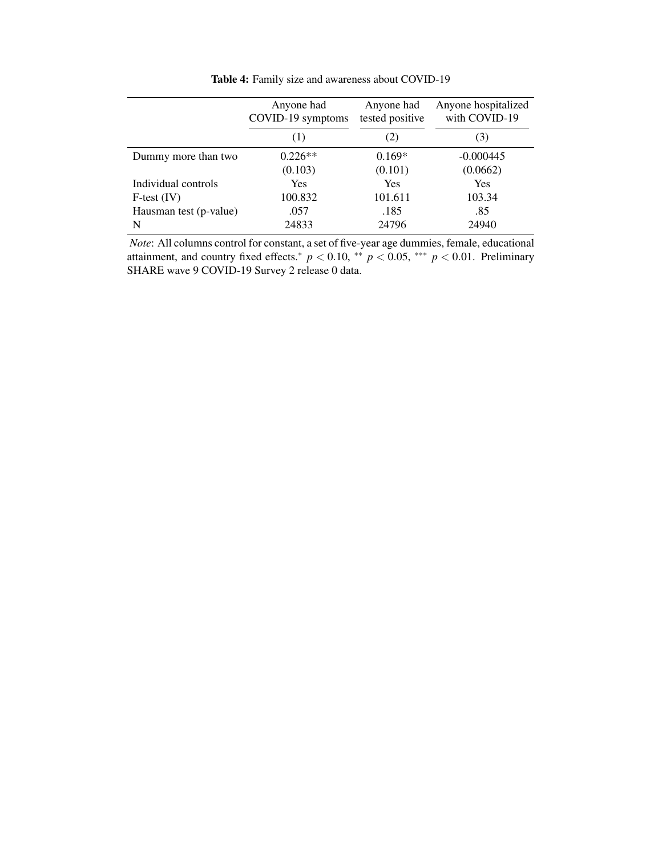|                        | Anyone had<br>COVID-19 symptoms | Anyone had<br>tested positive | Anyone hospitalized<br>with COVID-19 |
|------------------------|---------------------------------|-------------------------------|--------------------------------------|
|                        | (1)                             | (2)                           | (3)                                  |
| Dummy more than two    | $0.226**$                       | $0.169*$                      | $-0.000445$                          |
|                        | (0.103)                         | (0.101)                       | (0.0662)                             |
| Individual controls    | Yes                             | <b>Yes</b>                    | Yes                                  |
| $F-test (IV)$          | 100.832                         | 101.611                       | 103.34                               |
| Hausman test (p-value) | .057                            | .185                          | .85                                  |
| N                      | 24833                           | 24796                         | 24940                                |

Table 4: Family size and awareness about COVID-19

*Note*: All columns control for constant, a set of five-year age dummies, female, educational attainment, and country fixed effects.<sup>\*</sup>  $p < 0.10$ , \*\*  $p < 0.05$ , \*\*\*  $p < 0.01$ . Preliminary SHARE wave 9 COVID-19 Survey 2 release 0 data.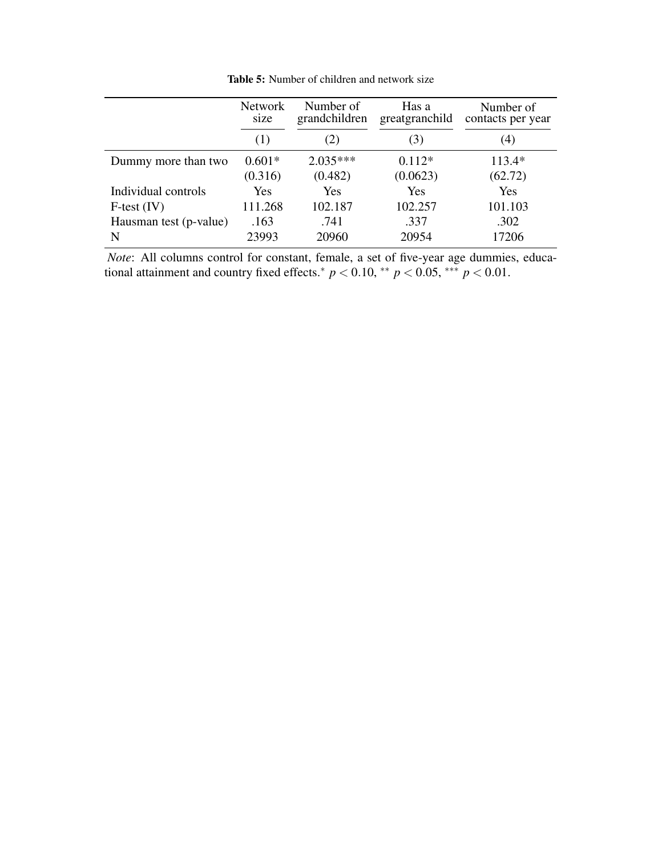|                        | <b>Network</b><br>size | Number of<br>grandchildren | Has a<br>greatgranchild | Number of<br>contacts per year |
|------------------------|------------------------|----------------------------|-------------------------|--------------------------------|
|                        | (1)                    | $\mathbb{Z}$               | (3)                     | (4)                            |
| Dummy more than two    | $0.601*$               | $2.035***$                 | $0.112*$                | $113.4*$                       |
|                        | (0.316)                | (0.482)                    | (0.0623)                | (62.72)                        |
| Individual controls    | Yes                    | Yes                        | Yes                     | Yes                            |
| $F-test (IV)$          | 111.268                | 102.187                    | 102.257                 | 101.103                        |
| Hausman test (p-value) | .163                   | .741                       | .337                    | .302                           |
| N                      | 23993                  | 20960                      | 20954                   | 17206                          |

Table 5: Number of children and network size

*Note*: All columns control for constant, female, a set of five-year age dummies, educational attainment and country fixed effects.<sup>\*</sup>  $p < 0.10$ , \*\*  $p < 0.05$ , \*\*\*  $p < 0.01$ .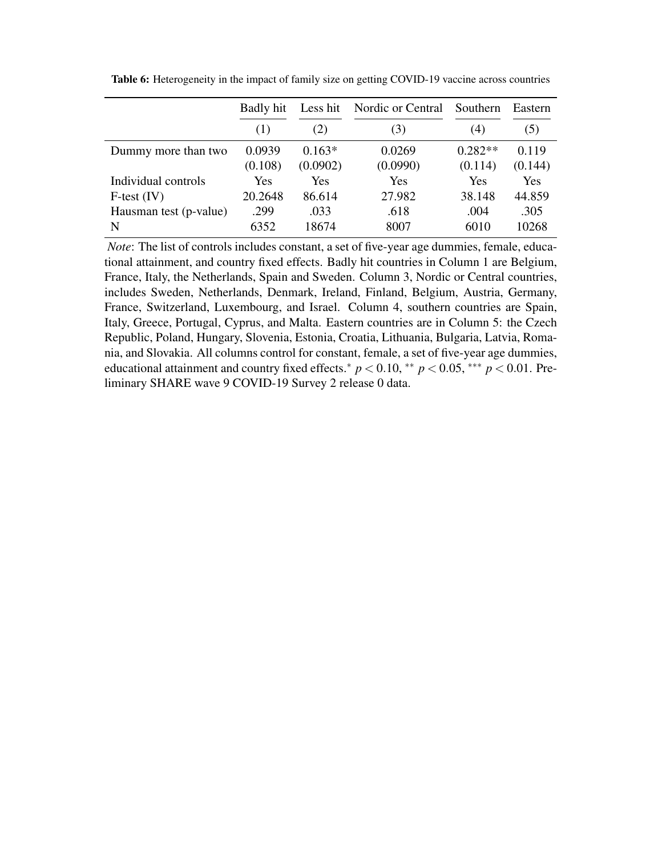|                        | Badly hit | Less hit | Nordic or Central | Southern   | Eastern |
|------------------------|-----------|----------|-------------------|------------|---------|
|                        | (1)       | (2)      | (3)               | (4)        | (5)     |
| Dummy more than two    | 0.0939    | $0.163*$ | 0.0269            | $0.282**$  | 0.119   |
|                        | (0.108)   | (0.0902) | (0.0990)          | (0.114)    | (0.144) |
| Individual controls    | Yes       | Yes      | Yes               | <b>Yes</b> | Yes     |
| $F-test (IV)$          | 20.2648   | 86.614   | 27.982            | 38.148     | 44.859  |
| Hausman test (p-value) | .299      | .033     | .618              | .004       | .305    |
| N                      | 6352      | 18674    | 8007              | 6010       | 10268   |

Table 6: Heterogeneity in the impact of family size on getting COVID-19 vaccine across countries

*Note*: The list of controls includes constant, a set of five-year age dummies, female, educational attainment, and country fixed effects. Badly hit countries in Column 1 are Belgium, France, Italy, the Netherlands, Spain and Sweden. Column 3, Nordic or Central countries, includes Sweden, Netherlands, Denmark, Ireland, Finland, Belgium, Austria, Germany, France, Switzerland, Luxembourg, and Israel. Column 4, southern countries are Spain, Italy, Greece, Portugal, Cyprus, and Malta. Eastern countries are in Column 5: the Czech Republic, Poland, Hungary, Slovenia, Estonia, Croatia, Lithuania, Bulgaria, Latvia, Romania, and Slovakia. All columns control for constant, female, a set of five-year age dummies, educational attainment and country fixed effects.<sup>\*</sup>  $p < 0.10$ , \*\*  $p < 0.05$ , \*\*\*  $p < 0.01$ . Preliminary SHARE wave 9 COVID-19 Survey 2 release 0 data.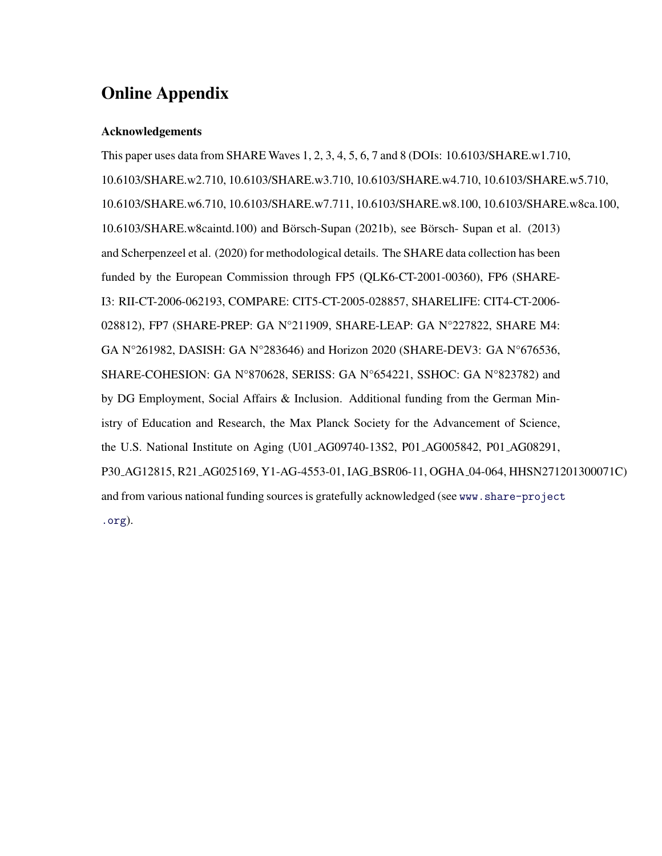## Online Appendix

### Acknowledgements

This paper uses data from SHARE Waves 1, 2, 3, 4, 5, 6, 7 and 8 (DOIs: 10.6103/SHARE.w1.710, 10.6103/SHARE.w2.710, 10.6103/SHARE.w3.710, 10.6103/SHARE.w4.710, 10.6103/SHARE.w5.710, 10.6103/SHARE.w6.710, 10.6103/SHARE.w7.711, 10.6103/SHARE.w8.100, 10.6103/SHARE.w8ca.100,  $10.6103/SHARE.w8caintd.100)$  and Börsch-Supan  $(2021b)$ , see Börsch-Supan et al.  $(2013)$ and Scherpenzeel et al. (2020) for methodological details. The SHARE data collection has been funded by the European Commission through FP5 (QLK6-CT-2001-00360), FP6 (SHARE-I3: RII-CT-2006-062193, COMPARE: CIT5-CT-2005-028857, SHARELIFE: CIT4-CT-2006- 028812), FP7 (SHARE-PREP: GA N°211909, SHARE-LEAP: GA N°227822, SHARE M4: GA N°261982, DASISH: GA N°283646) and Horizon 2020 (SHARE-DEV3: GA N°676536, SHARE-COHESION: GA N°870628, SERISS: GA N°654221, SSHOC: GA N°823782) and by DG Employment, Social Affairs & Inclusion. Additional funding from the German Ministry of Education and Research, the Max Planck Society for the Advancement of Science, the U.S. National Institute on Aging (U01 AG09740-13S2, P01 AG005842, P01 AG08291, P30 AG12815, R21 AG025169, Y1-AG-4553-01, IAG BSR06-11, OGHA 04-064, HHSN271201300071C) and from various national funding sources is gratefully acknowledged (see www.share-project .org).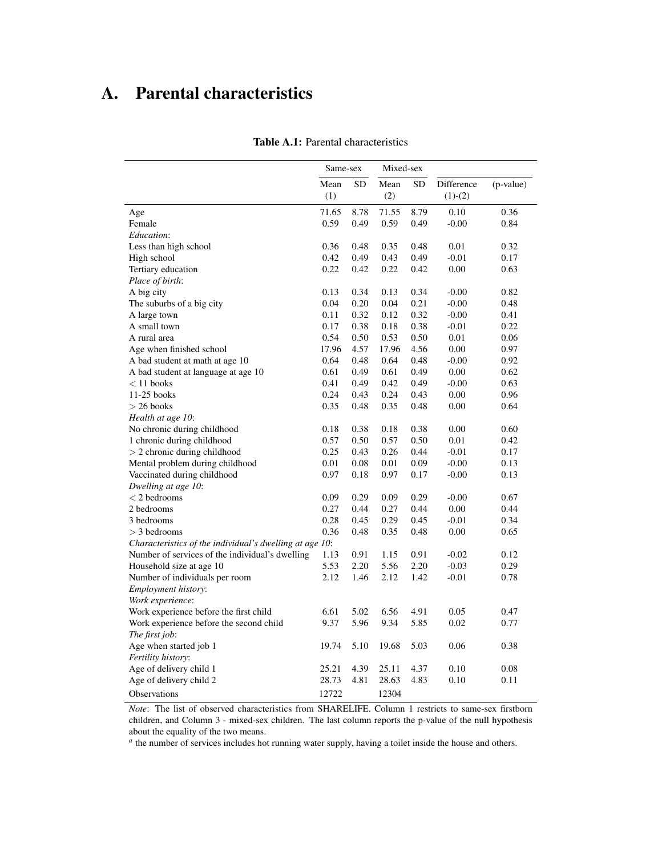# A. Parental characteristics

|                                                         | Same-sex     |              | Mixed-sex    |              |                         |              |
|---------------------------------------------------------|--------------|--------------|--------------|--------------|-------------------------|--------------|
|                                                         | Mean<br>(1)  | <b>SD</b>    | Mean<br>(2)  | <b>SD</b>    | Difference<br>$(1)-(2)$ | (p-value)    |
| Age                                                     | 71.65        | 8.78         | 71.55        | 8.79         | 0.10                    | 0.36         |
| Female                                                  | 0.59         | 0.49         | 0.59         | 0.49         | $-0.00$                 | 0.84         |
| Education:                                              |              |              |              |              |                         |              |
| Less than high school                                   | 0.36         | 0.48         | 0.35         | 0.48         | 0.01                    | 0.32         |
| High school                                             | 0.42         | 0.49         | 0.43         | 0.49         | $-0.01$                 | 0.17         |
| Tertiary education                                      | 0.22         | 0.42         | 0.22         | 0.42         | 0.00                    | 0.63         |
| Place of birth:                                         |              |              |              |              |                         |              |
| A big city                                              | 0.13         | 0.34         | 0.13         | 0.34         | $-0.00$                 | 0.82         |
| The suburbs of a big city                               | 0.04         | 0.20         | 0.04         | 0.21         | $-0.00$                 | 0.48         |
| A large town                                            | 0.11         | 0.32         | 0.12         | 0.32         | $-0.00$                 | 0.41         |
| A small town                                            | 0.17         | 0.38         | 0.18         | 0.38         | $-0.01$                 | 0.22         |
| A rural area                                            | 0.54         | 0.50         | 0.53         | 0.50         | 0.01                    | 0.06         |
| Age when finished school                                | 17.96        | 4.57         | 17.96        | 4.56         | 0.00                    | 0.97         |
| A bad student at math at age 10                         | 0.64         | 0.48         | 0.64         | 0.48         | $-0.00$                 | 0.92         |
| A bad student at language at age 10<br>$< 11$ books     | 0.61<br>0.41 | 0.49         | 0.61         | 0.49         | 0.00                    | 0.62<br>0.63 |
| 11-25 books                                             | 0.24         | 0.49<br>0.43 | 0.42<br>0.24 | 0.49<br>0.43 | $-0.00$<br>0.00         | 0.96         |
| $>$ 26 books                                            | 0.35         | 0.48         | 0.35         | 0.48         | 0.00                    | 0.64         |
| Health at age 10:                                       |              |              |              |              |                         |              |
| No chronic during childhood                             | 0.18         | 0.38         | 0.18         | 0.38         | 0.00                    | 0.60         |
| 1 chronic during childhood                              | 0.57         | 0.50         | 0.57         | 0.50         | 0.01                    | 0.42         |
| $> 2$ chronic during childhood                          | 0.25         | 0.43         | 0.26         | 0.44         | $-0.01$                 | 0.17         |
| Mental problem during childhood                         | 0.01         | 0.08         | 0.01         | 0.09         | $-0.00$                 | 0.13         |
| Vaccinated during childhood                             | 0.97         | 0.18         | 0.97         | 0.17         | $-0.00$                 | 0.13         |
| Dwelling at age 10:                                     |              |              |              |              |                         |              |
| $<$ 2 bedrooms                                          | 0.09         | 0.29         | 0.09         | 0.29         | $-0.00$                 | 0.67         |
| 2 bedrooms                                              | 0.27         | 0.44         | 0.27         | 0.44         | 0.00                    | 0.44         |
| 3 bedrooms                                              | 0.28         | 0.45         | 0.29         | 0.45         | $-0.01$                 | 0.34         |
| $>$ 3 bedrooms                                          | 0.36         | 0.48         | 0.35         | 0.48         | 0.00                    | 0.65         |
| Characteristics of the individual's dwelling at age 10: |              |              |              |              |                         |              |
| Number of services of the individual's dwelling         | 1.13         | 0.91         | 1.15         | 0.91         | $-0.02$                 | 0.12         |
| Household size at age 10                                | 5.53         | 2.20         | 5.56         | 2.20         | $-0.03$                 | 0.29         |
| Number of individuals per room                          | 2.12         | 1.46         | 2.12         | 1.42         | $-0.01$                 | 0.78         |
| Employment history:                                     |              |              |              |              |                         |              |
| Work experience:                                        |              |              |              |              |                         |              |
| Work experience before the first child                  | 6.61         | 5.02         | 6.56         | 4.91         | 0.05                    | 0.47         |
| Work experience before the second child                 | 9.37         | 5.96         | 9.34         | 5.85         | 0.02                    | 0.77         |
| The first job:                                          |              |              |              |              |                         |              |
| Age when started job 1                                  | 19.74        | 5.10         | 19.68        | 5.03         | 0.06                    | 0.38         |
| Fertility history:                                      |              |              |              |              |                         |              |
| Age of delivery child 1                                 | 25.21        | 4.39<br>4.81 | 25.11        | 4.37         | 0.10                    | 0.08         |
| Age of delivery child 2                                 | 28.73        |              | 28.63        | 4.83         | 0.10                    | 0.11         |
| Observations                                            | 12722        |              | 12304        |              |                         |              |

#### Table A.1: Parental characteristics

*Note*: The list of observed characteristics from SHARELIFE. Column 1 restricts to same-sex firstborn children, and Column 3 - mixed-sex children. The last column reports the p-value of the null hypothesis about the equality of the two means.

*a* the number of services includes hot running water supply, having a toilet inside the house and others.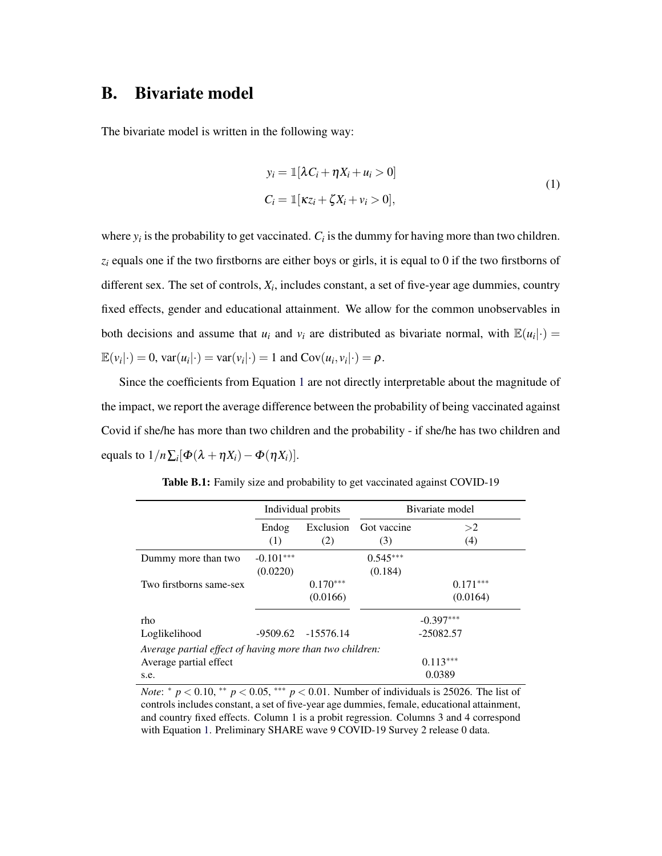## B. Bivariate model

The bivariate model is written in the following way:

$$
y_i = \mathbb{1}[\lambda C_i + \eta X_i + u_i > 0]
$$
  
\n
$$
C_i = \mathbb{1}[\kappa z_i + \zeta X_i + v_i > 0],
$$
\n(1)

where  $y_i$  is the probability to get vaccinated.  $C_i$  is the dummy for having more than two children.  $z_i$  equals one if the two firstborns are either boys or girls, it is equal to 0 if the two firstborns of different sex. The set of controls, *X<sup>i</sup>* , includes constant, a set of five-year age dummies, country fixed effects, gender and educational attainment. We allow for the common unobservables in both decisions and assume that  $u_i$  and  $v_i$  are distributed as bivariate normal, with  $\mathbb{E}(u_i|\cdot) =$  $\mathbb{E}(v_i|\cdot) = 0$ ,  $\text{var}(u_i|\cdot) = \text{var}(v_i|\cdot) = 1$  and  $\text{Cov}(u_i, v_i|\cdot) = \rho$ .

Since the coefficients from Equation 1 are not directly interpretable about the magnitude of the impact, we report the average difference between the probability of being vaccinated against Covid if she/he has more than two children and the probability - if she/he has two children and equals to  $1/n \sum_i [\Phi(\lambda + \eta X_i) - \Phi(\eta X_i)].$ 

|                                                          | Individual probits |            |             | Bivariate model |
|----------------------------------------------------------|--------------------|------------|-------------|-----------------|
|                                                          | Endog              | Exclusion  | Got vaccine | >2              |
|                                                          | (1)                | (2)        | (3)         | (4)             |
| Dummy more than two                                      | $-0.101***$        |            | $0.545***$  |                 |
|                                                          | (0.0220)           |            | (0.184)     |                 |
| Two firstborns same-sex                                  |                    | $0.170***$ |             | $0.171***$      |
|                                                          |                    | (0.0166)   |             | (0.0164)        |
| rho                                                      |                    |            |             | $-0.397***$     |
| Loglikelihood                                            | $-9509.62$         | -15576.14  |             | $-25082.57$     |
| Average partial effect of having more than two children: |                    |            |             |                 |
| Average partial effect                                   |                    |            |             | $0.113***$      |
| s.e.                                                     |                    |            |             | 0.0389          |

Table B.1: Family size and probability to get vaccinated against COVID-19

*Note*:  $* p < 0.10, ** p < 0.05,*** p < 0.01$ . Number of individuals is 25026. The list of controls includes constant, a set of five-year age dummies, female, educational attainment, and country fixed effects. Column 1 is a probit regression. Columns 3 and 4 correspond with Equation 1. Preliminary SHARE wave 9 COVID-19 Survey 2 release 0 data.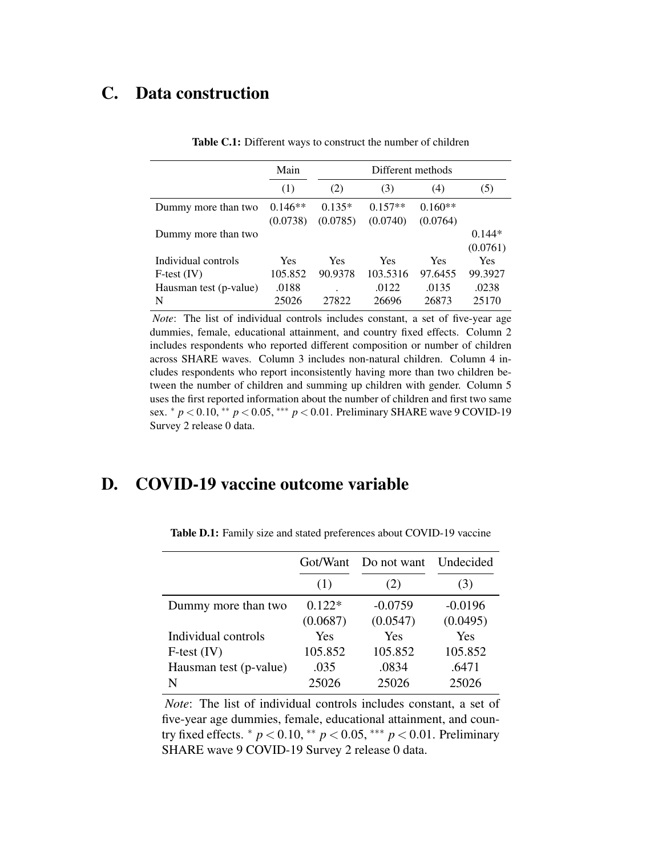## C. Data construction

|                        | Main       |          |           |           |            |
|------------------------|------------|----------|-----------|-----------|------------|
|                        | (1)        | (2)      | (3)       | (4)       | (5)        |
| Dummy more than two    | $0.146**$  | $0.135*$ | $0.157**$ | $0.160**$ |            |
|                        | (0.0738)   | (0.0785) | (0.0740)  | (0.0764)  |            |
| Dummy more than two    |            |          |           |           | $0.144*$   |
|                        |            |          |           |           | (0.0761)   |
| Individual controls    | <b>Yes</b> | Yes      | Yes       | Yes       | <b>Yes</b> |
| $F-test (IV)$          | 105.852    | 90.9378  | 103.5316  | 97.6455   | 99.3927    |
| Hausman test (p-value) | .0188      |          | .0122     | .0135     | .0238      |
| N                      | 25026      | 27822    | 26696     | 26873     | 25170      |

Table C.1: Different ways to construct the number of children

*Note*: The list of individual controls includes constant, a set of five-year age dummies, female, educational attainment, and country fixed effects. Column 2 includes respondents who reported different composition or number of children across SHARE waves. Column 3 includes non-natural children. Column 4 includes respondents who report inconsistently having more than two children between the number of children and summing up children with gender. Column 5 uses the first reported information about the number of children and first two same sex. <sup>∗</sup> *p* < 0.10, ∗∗ *p* < 0.05, ∗∗∗ *p* < 0.01. Preliminary SHARE wave 9 COVID-19 Survey 2 release 0 data.

## D. COVID-19 vaccine outcome variable

|                        | Got/Want | Do not want | Undecided |
|------------------------|----------|-------------|-----------|
|                        | (1)      | (2)         | (3)       |
| Dummy more than two    | $0.122*$ | $-0.0759$   | $-0.0196$ |
|                        | (0.0687) | (0.0547)    | (0.0495)  |
| Individual controls    | Yes      | <b>Yes</b>  | Yes       |
| $F-test (IV)$          | 105.852  | 105.852     | 105.852   |
| Hausman test (p-value) | .035     | .0834       | .6471     |
| N                      | 25026    | 25026       | 25026     |
|                        |          |             |           |

Table D.1: Family size and stated preferences about COVID-19 vaccine

*Note*: The list of individual controls includes constant, a set of five-year age dummies, female, educational attainment, and country fixed effects.  $* p < 0.10, ** p < 0.05, ** p < 0.01$ . Preliminary SHARE wave 9 COVID-19 Survey 2 release 0 data.